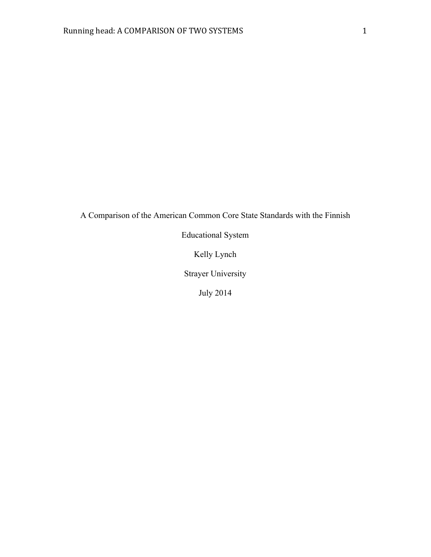A Comparison of the American Common Core State Standards with the Finnish

Educational System

Kelly Lynch

Strayer University

July 2014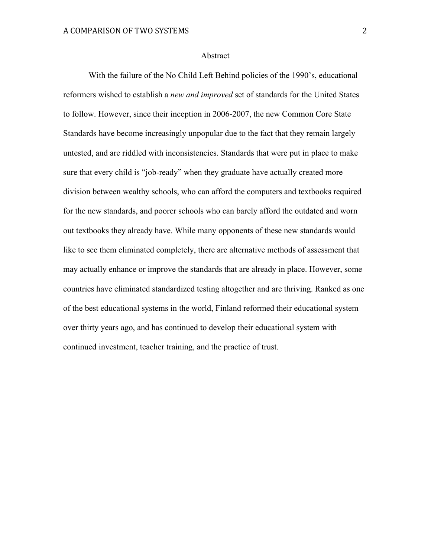#### Abstract

With the failure of the No Child Left Behind policies of the 1990's, educational reformers wished to establish a *new and improved* set of standards for the United States to follow. However, since their inception in 2006-2007, the new Common Core State Standards have become increasingly unpopular due to the fact that they remain largely untested, and are riddled with inconsistencies. Standards that were put in place to make sure that every child is "job-ready" when they graduate have actually created more division between wealthy schools, who can afford the computers and textbooks required for the new standards, and poorer schools who can barely afford the outdated and worn out textbooks they already have. While many opponents of these new standards would like to see them eliminated completely, there are alternative methods of assessment that may actually enhance or improve the standards that are already in place. However, some countries have eliminated standardized testing altogether and are thriving. Ranked as one of the best educational systems in the world, Finland reformed their educational system over thirty years ago, and has continued to develop their educational system with continued investment, teacher training, and the practice of trust.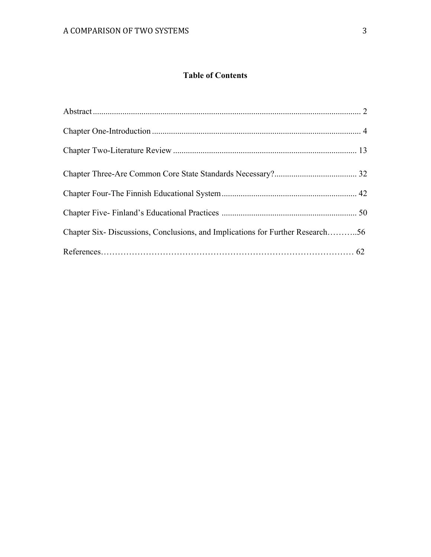# **Table of Contents**

| Chapter Six-Discussions, Conclusions, and Implications for Further Research56 |  |
|-------------------------------------------------------------------------------|--|
|                                                                               |  |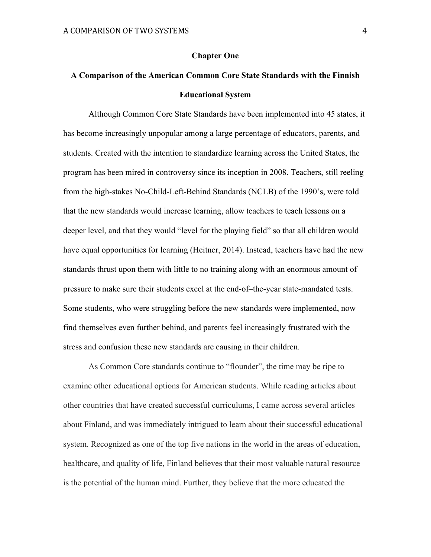#### **Chapter One**

# **A Comparison of the American Common Core State Standards with the Finnish Educational System**

Although Common Core State Standards have been implemented into 45 states, it has become increasingly unpopular among a large percentage of educators, parents, and students. Created with the intention to standardize learning across the United States, the program has been mired in controversy since its inception in 2008. Teachers, still reeling from the high-stakes No-Child-Left-Behind Standards (NCLB) of the 1990's, were told that the new standards would increase learning, allow teachers to teach lessons on a deeper level, and that they would "level for the playing field" so that all children would have equal opportunities for learning (Heitner, 2014). Instead, teachers have had the new standards thrust upon them with little to no training along with an enormous amount of pressure to make sure their students excel at the end-of–the-year state-mandated tests. Some students, who were struggling before the new standards were implemented, now find themselves even further behind, and parents feel increasingly frustrated with the stress and confusion these new standards are causing in their children.

As Common Core standards continue to "flounder", the time may be ripe to examine other educational options for American students. While reading articles about other countries that have created successful curriculums, I came across several articles about Finland, and was immediately intrigued to learn about their successful educational system. Recognized as one of the top five nations in the world in the areas of education, healthcare, and quality of life, Finland believes that their most valuable natural resource is the potential of the human mind. Further, they believe that the more educated the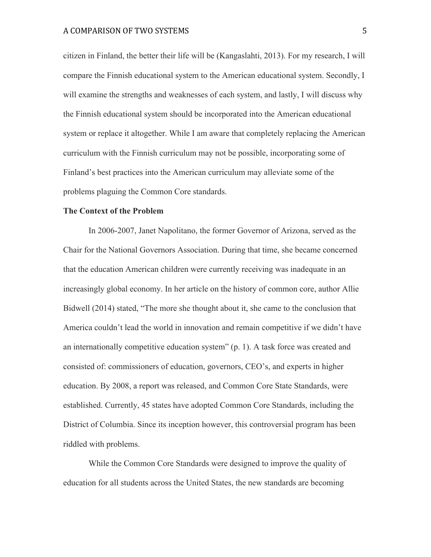citizen in Finland, the better their life will be (Kangaslahti, 2013). For my research, I will compare the Finnish educational system to the American educational system. Secondly, I will examine the strengths and weaknesses of each system, and lastly, I will discuss why the Finnish educational system should be incorporated into the American educational system or replace it altogether. While I am aware that completely replacing the American curriculum with the Finnish curriculum may not be possible, incorporating some of Finland's best practices into the American curriculum may alleviate some of the problems plaguing the Common Core standards.

# **The Context of the Problem**

In 2006-2007, Janet Napolitano, the former Governor of Arizona, served as the Chair for the National Governors Association. During that time, she became concerned that the education American children were currently receiving was inadequate in an increasingly global economy. In her article on the history of common core, author Allie Bidwell (2014) stated, "The more she thought about it, she came to the conclusion that America couldn't lead the world in innovation and remain competitive if we didn't have an internationally competitive education system" (p. 1). A task force was created and consisted of: commissioners of education, governors, CEO's, and experts in higher education. By 2008, a report was released, and Common Core State Standards, were established. Currently, 45 states have adopted Common Core Standards, including the District of Columbia. Since its inception however, this controversial program has been riddled with problems.

While the Common Core Standards were designed to improve the quality of education for all students across the United States, the new standards are becoming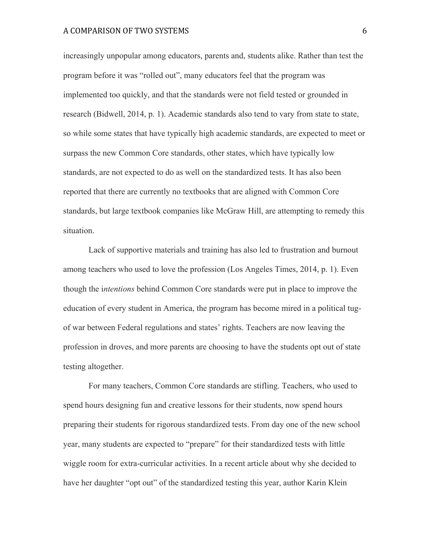increasingly unpopular among educators, parents and, students alike. Rather than test the program before it was "rolled out", many educators feel that the program was implemented too quickly, and that the standards were not field tested or grounded in research (Bidwell, 2014, p. 1). Academic standards also tend to vary from state to state, so while some states that have typically high academic standards, are expected to meet or surpass the new Common Core standards, other states, which have typically low standards, are not expected to do as well on the standardized tests. It has also been reported that there are currently no textbooks that are aligned with Common Core standards, but large textbook companies like McGraw Hill, are attempting to remedy this situation.

Lack of supportive materials and training has also led to frustration and burnout among teachers who used to love the profession (Los Angeles Times, 2014, p. 1). Even though the i*ntentions* behind Common Core standards were put in place to improve the education of every student in America, the program has become mired in a political tugof war between Federal regulations and states' rights. Teachers are now leaving the profession in droves, and more parents are choosing to have the students opt out of state testing altogether.

For many teachers, Common Core standards are stifling. Teachers, who used to spend hours designing fun and creative lessons for their students, now spend hours preparing their students for rigorous standardized tests. From day one of the new school year, many students are expected to "prepare" for their standardized tests with little wiggle room for extra-curricular activities. In a recent article about why she decided to have her daughter "opt out" of the standardized testing this year, author Karin Klein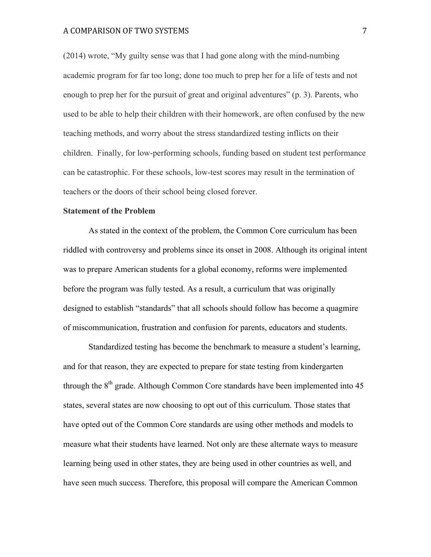# A COMPARISON OF TWO SYSTEMS 7

(2014) wrote, "My guilty sense was that I had gone along with the mind-numbing academic program for far too long; done too much to prep her for a life of tests and not enough to prep her for the pursuit of great and original adventures" (p. 3). Parents, who used to be able to help their children with their homework, are often confused by the new teaching methods, and worry about the stress standardized testing inflicts on their children. Finally, for low-performing schools, funding based on student test performance can be catastrophic. For these schools, low-test scores may result in the termination of teachers or the doors of their school being closed forever.

# **Statement of the Problem**

As stated in the context of the problem, the Common Core curriculum has been riddled with controversy and problems since its onset in 2008. Although its original intent was to prepare American students for a global economy, reforms were implemented before the program was fully tested. As a result, a curriculum that was originally designed to establish "standards" that all schools should follow has become a quagmire of miscommunication, frustration and confusion for parents, educators and students.

Standardized testing has become the benchmark to measure a student's learning, and for that reason, they are expected to prepare for state testing from kindergarten through the 8<sup>th</sup> grade. Although Common Core standards have been implemented into 45 states, several states are now choosing to opt out of this curriculum. Those states that have opted out of the Common Core standards are using other methods and models to measure what their students have learned. Not only are these alternate ways to measure learning being used in other states, they are being used in other countries as well, and have seen much success. Therefore, this proposal will compare the American Common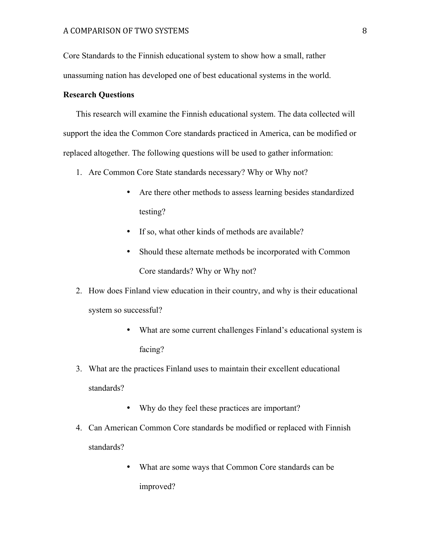Core Standards to the Finnish educational system to show how a small, rather unassuming nation has developed one of best educational systems in the world.

# **Research Questions**

This research will examine the Finnish educational system. The data collected will support the idea the Common Core standards practiced in America, can be modified or replaced altogether. The following questions will be used to gather information:

- 1. Are Common Core State standards necessary? Why or Why not?
	- Are there other methods to assess learning besides standardized testing?
	- If so, what other kinds of methods are available?
	- Should these alternate methods be incorporated with Common Core standards? Why or Why not?
- 2. How does Finland view education in their country, and why is their educational system so successful?
	- What are some current challenges Finland's educational system is facing?
- 3. What are the practices Finland uses to maintain their excellent educational standards?
	- Why do they feel these practices are important?
- 4. Can American Common Core standards be modified or replaced with Finnish standards?
	- What are some ways that Common Core standards can be improved?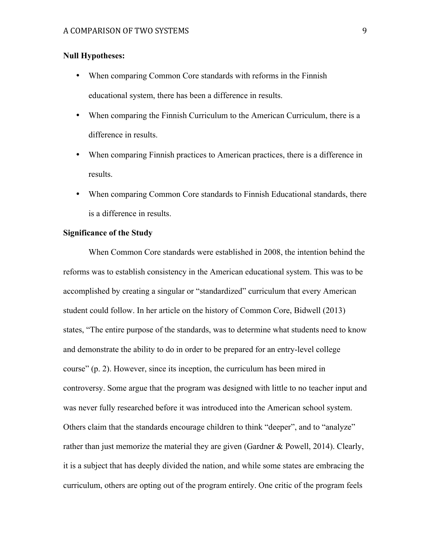# **Null Hypotheses:**

- When comparing Common Core standards with reforms in the Finnish educational system, there has been a difference in results.
- When comparing the Finnish Curriculum to the American Curriculum, there is a difference in results.
- When comparing Finnish practices to American practices, there is a difference in results.
- When comparing Common Core standards to Finnish Educational standards, there is a difference in results.

### **Significance of the Study**

When Common Core standards were established in 2008, the intention behind the reforms was to establish consistency in the American educational system. This was to be accomplished by creating a singular or "standardized" curriculum that every American student could follow. In her article on the history of Common Core, Bidwell (2013) states, "The entire purpose of the standards, was to determine what students need to know and demonstrate the ability to do in order to be prepared for an entry-level college course" (p. 2). However, since its inception, the curriculum has been mired in controversy. Some argue that the program was designed with little to no teacher input and was never fully researched before it was introduced into the American school system. Others claim that the standards encourage children to think "deeper", and to "analyze" rather than just memorize the material they are given (Gardner & Powell, 2014). Clearly, it is a subject that has deeply divided the nation, and while some states are embracing the curriculum, others are opting out of the program entirely. One critic of the program feels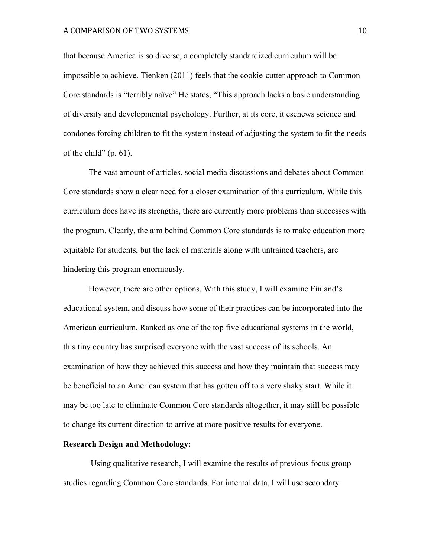#### A COMPARISON OF TWO SYSTEMS 10

that because America is so diverse, a completely standardized curriculum will be impossible to achieve. Tienken (2011) feels that the cookie-cutter approach to Common Core standards is "terribly naïve" He states, "This approach lacks a basic understanding of diversity and developmental psychology. Further, at its core, it eschews science and condones forcing children to fit the system instead of adjusting the system to fit the needs of the child"  $(p. 61)$ .

The vast amount of articles, social media discussions and debates about Common Core standards show a clear need for a closer examination of this curriculum. While this curriculum does have its strengths, there are currently more problems than successes with the program. Clearly, the aim behind Common Core standards is to make education more equitable for students, but the lack of materials along with untrained teachers, are hindering this program enormously.

However, there are other options. With this study, I will examine Finland's educational system, and discuss how some of their practices can be incorporated into the American curriculum. Ranked as one of the top five educational systems in the world, this tiny country has surprised everyone with the vast success of its schools. An examination of how they achieved this success and how they maintain that success may be beneficial to an American system that has gotten off to a very shaky start. While it may be too late to eliminate Common Core standards altogether, it may still be possible to change its current direction to arrive at more positive results for everyone.

#### **Research Design and Methodology:**

Using qualitative research, I will examine the results of previous focus group studies regarding Common Core standards. For internal data, I will use secondary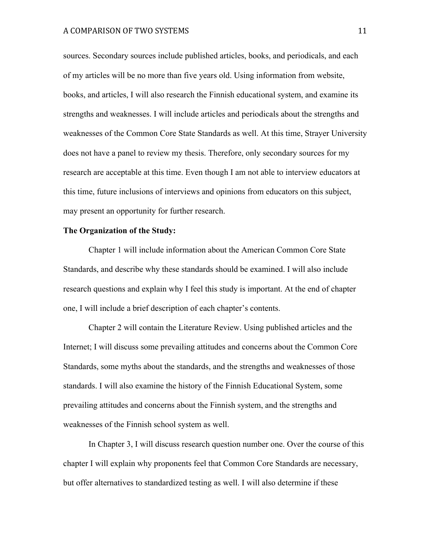sources. Secondary sources include published articles, books, and periodicals, and each of my articles will be no more than five years old. Using information from website, books, and articles, I will also research the Finnish educational system, and examine its strengths and weaknesses. I will include articles and periodicals about the strengths and weaknesses of the Common Core State Standards as well. At this time, Strayer University does not have a panel to review my thesis. Therefore, only secondary sources for my research are acceptable at this time. Even though I am not able to interview educators at this time, future inclusions of interviews and opinions from educators on this subject, may present an opportunity for further research.

# **The Organization of the Study:**

Chapter 1 will include information about the American Common Core State Standards, and describe why these standards should be examined. I will also include research questions and explain why I feel this study is important. At the end of chapter one, I will include a brief description of each chapter's contents.

Chapter 2 will contain the Literature Review. Using published articles and the Internet; I will discuss some prevailing attitudes and concerns about the Common Core Standards, some myths about the standards, and the strengths and weaknesses of those standards. I will also examine the history of the Finnish Educational System, some prevailing attitudes and concerns about the Finnish system, and the strengths and weaknesses of the Finnish school system as well.

In Chapter 3, I will discuss research question number one. Over the course of this chapter I will explain why proponents feel that Common Core Standards are necessary, but offer alternatives to standardized testing as well. I will also determine if these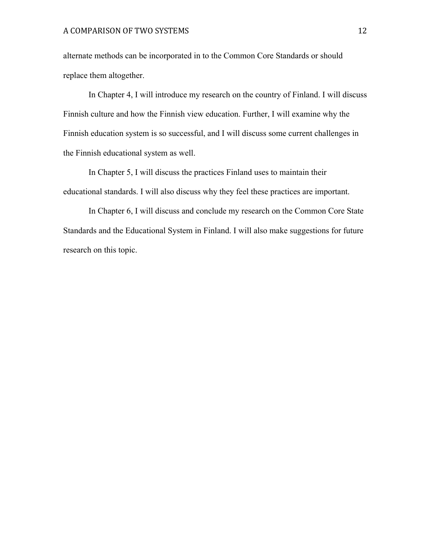alternate methods can be incorporated in to the Common Core Standards or should replace them altogether.

In Chapter 4, I will introduce my research on the country of Finland. I will discuss Finnish culture and how the Finnish view education. Further, I will examine why the Finnish education system is so successful, and I will discuss some current challenges in the Finnish educational system as well.

In Chapter 5, I will discuss the practices Finland uses to maintain their educational standards. I will also discuss why they feel these practices are important.

In Chapter 6, I will discuss and conclude my research on the Common Core State Standards and the Educational System in Finland. I will also make suggestions for future research on this topic.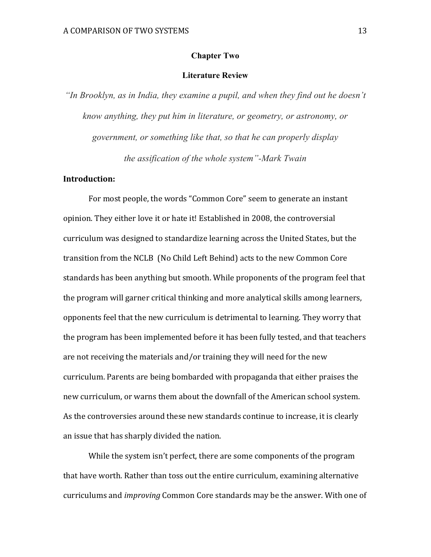# **Chapter Two**

# **Literature Review**

*"In Brooklyn, as in India, they examine a pupil, and when they find out he doesn't know anything, they put him in literature, or geometry, or astronomy, or government, or something like that, so that he can properly display the assification of the whole system"-Mark Twain*

# **Introduction:**

For most people, the words "Common Core" seem to generate an instant opinion. They either love it or hate it! Established in 2008, the controversial curriculum was designed to standardize learning across the United States, but the transition from the NCLB (No Child Left Behind) acts to the new Common Core standards has been anything but smooth. While proponents of the program feel that the program will garner critical thinking and more analytical skills among learners, opponents feel that the new curriculum is detrimental to learning. They worry that the program has been implemented before it has been fully tested, and that teachers are not receiving the materials and/or training they will need for the new curriculum. Parents are being bombarded with propaganda that either praises the new curriculum, or warns them about the downfall of the American school system. As the controversies around these new standards continue to increase, it is clearly an issue that has sharply divided the nation.

While the system isn't perfect, there are some components of the program that have worth. Rather than toss out the entire curriculum, examining alternative curriculums and *improving* Common Core standards may be the answer. With one of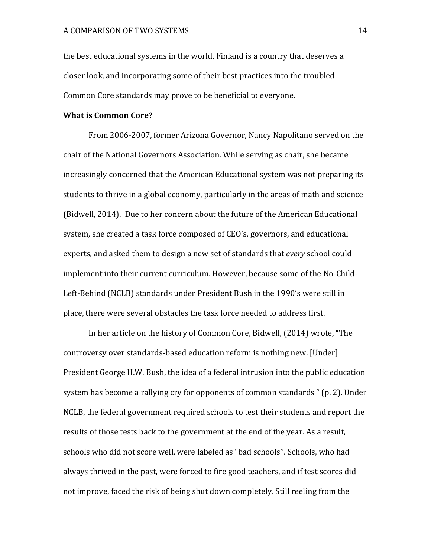the best educational systems in the world, Finland is a country that deserves a closer look, and incorporating some of their best practices into the troubled Common Core standards may prove to be beneficial to everyone.

# **What is Common Core?**

From 2006-2007, former Arizona Governor, Nancy Napolitano served on the chair of the National Governors Association. While serving as chair, she became increasingly concerned that the American Educational system was not preparing its students to thrive in a global economy, particularly in the areas of math and science (Bidwell, 2014). Due to her concern about the future of the American Educational system, she created a task force composed of CEO's, governors, and educational experts, and asked them to design a new set of standards that *every* school could implement into their current curriculum. However, because some of the No-Child-Left-Behind (NCLB) standards under President Bush in the 1990's were still in place, there were several obstacles the task force needed to address first.

In her article on the history of Common Core, Bidwell, (2014) wrote, "The controversy over standards-based education reform is nothing new. [Under] President George H.W. Bush, the idea of a federal intrusion into the public education system has become a rallying cry for opponents of common standards " (p. 2). Under NCLB, the federal government required schools to test their students and report the results of those tests back to the government at the end of the year. As a result, schools who did not score well, were labeled as "bad schools". Schools, who had always thrived in the past, were forced to fire good teachers, and if test scores did not improve, faced the risk of being shut down completely. Still reeling from the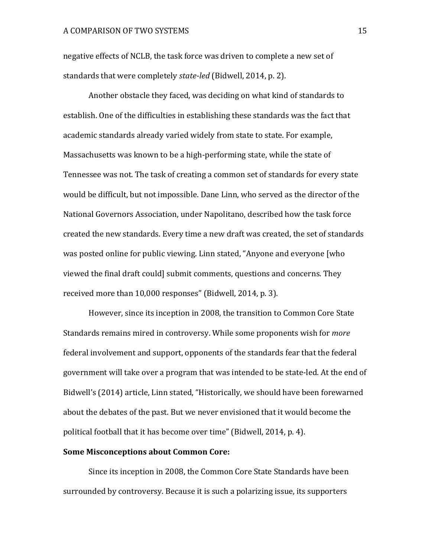negative effects of NCLB, the task force was driven to complete a new set of standards that were completely *state-led* (Bidwell, 2014, p. 2).

Another obstacle they faced, was deciding on what kind of standards to establish. One of the difficulties in establishing these standards was the fact that academic standards already varied widely from state to state. For example, Massachusetts was known to be a high-performing state, while the state of Tennessee was not. The task of creating a common set of standards for every state would be difficult, but not impossible. Dane Linn, who served as the director of the National Governors Association, under Napolitano, described how the task force created the new standards. Every time a new draft was created, the set of standards was posted online for public viewing. Linn stated, "Anyone and everyone [who viewed the final draft could] submit comments, questions and concerns. They received more than 10,000 responses" (Bidwell, 2014, p. 3).

However, since its inception in 2008, the transition to Common Core State Standards remains mired in controversy. While some proponents wish for *more* federal involvement and support, opponents of the standards fear that the federal government will take over a program that was intended to be state-led. At the end of Bidwell's (2014) article, Linn stated, "Historically, we should have been forewarned about the debates of the past. But we never envisioned that it would become the political football that it has become over time" (Bidwell, 2014, p. 4).

# **Some Misconceptions about Common Core:**

Since its inception in 2008, the Common Core State Standards have been surrounded by controversy. Because it is such a polarizing issue, its supporters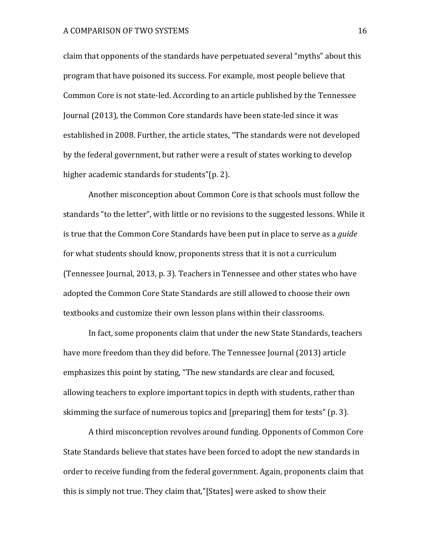claim that opponents of the standards have perpetuated several "myths" about this program that have poisoned its success. For example, most people believe that Common Core is not state-led. According to an article published by the Tennessee Journal (2013), the Common Core standards have been state-led since it was established in 2008. Further, the article states, "The standards were not developed by the federal government, but rather were a result of states working to develop higher academic standards for students"(p. 2).

Another misconception about Common Core is that schools must follow the standards "to the letter", with little or no revisions to the suggested lessons. While it is true that the Common Core Standards have been put in place to serve as a *guide* for what students should know, proponents stress that it is not a curriculum (Tennessee Journal, 2013, p. 3). Teachers in Tennessee and other states who have adopted the Common Core State Standards are still allowed to choose their own textbooks and customize their own lesson plans within their classrooms.

In fact, some proponents claim that under the new State Standards, teachers have more freedom than they did before. The Tennessee Journal (2013) article emphasizes this point by stating, "The new standards are clear and focused, allowing teachers to explore important topics in depth with students, rather than skimming the surface of numerous topics and [preparing] them for tests" (p. 3).

A third misconception revolves around funding. Opponents of Common Core State Standards believe that states have been forced to adopt the new standards in order to receive funding from the federal government. Again, proponents claim that this is simply not true. They claim that,"[States] were asked to show their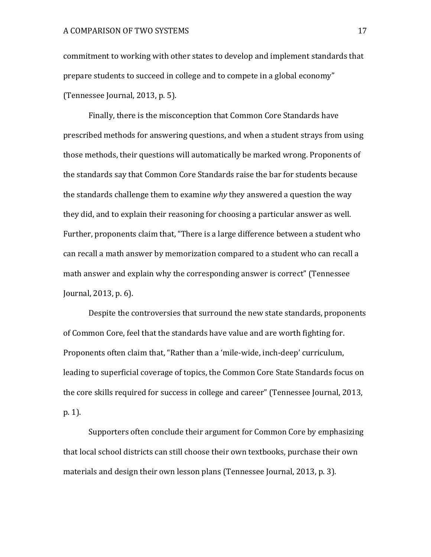commitment to working with other states to develop and implement standards that prepare students to succeed in college and to compete in a global economy" (Tennessee Journal, 2013, p. 5).

Finally, there is the misconception that Common Core Standards have prescribed methods for answering questions, and when a student strays from using those methods, their questions will automatically be marked wrong. Proponents of the standards say that Common Core Standards raise the bar for students because the standards challenge them to examine *why* they answered a question the way they did, and to explain their reasoning for choosing a particular answer as well. Further, proponents claim that, "There is a large difference between a student who can recall a math answer by memorization compared to a student who can recall a math answer and explain why the corresponding answer is correct" (Tennessee Journal,  $2013$ , p.  $6$ ).

Despite the controversies that surround the new state standards, proponents of Common Core, feel that the standards have value and are worth fighting for. Proponents often claim that, "Rather than a 'mile-wide, inch-deep' curriculum, leading to superficial coverage of topics, the Common Core State Standards focus on the core skills required for success in college and career" (Tennessee Journal, 2013, p. 1).

Supporters often conclude their argument for Common Core by emphasizing that local school districts can still choose their own textbooks, purchase their own materials and design their own lesson plans (Tennessee Journal, 2013, p. 3).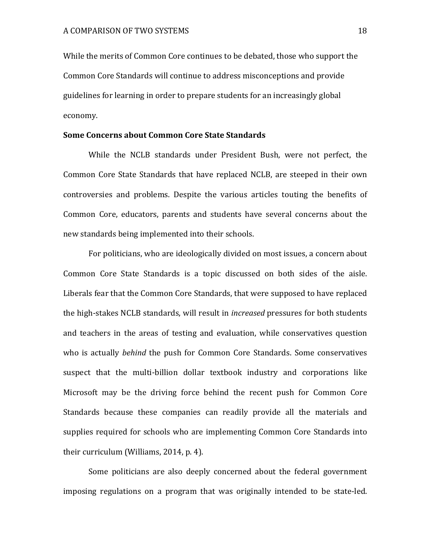While the merits of Common Core continues to be debated, those who support the Common Core Standards will continue to address misconceptions and provide guidelines for learning in order to prepare students for an increasingly global economy. 

# **Some Concerns about Common Core State Standards**

While the NCLB standards under President Bush, were not perfect, the Common Core State Standards that have replaced NCLB, are steeped in their own controversies and problems. Despite the various articles touting the benefits of Common Core, educators, parents and students have several concerns about the new standards being implemented into their schools.

For politicians, who are ideologically divided on most issues, a concern about Common Core State Standards is a topic discussed on both sides of the aisle. Liberals fear that the Common Core Standards, that were supposed to have replaced the high-stakes NCLB standards, will result in *increased* pressures for both students and teachers in the areas of testing and evaluation, while conservatives question who is actually *behind* the push for Common Core Standards. Some conservatives suspect that the multi-billion dollar textbook industry and corporations like Microsoft may be the driving force behind the recent push for Common Core Standards because these companies can readily provide all the materials and supplies required for schools who are implementing Common Core Standards into their curriculum (Williams,  $2014$ , p. 4).

Some politicians are also deeply concerned about the federal government imposing regulations on a program that was originally intended to be state-led.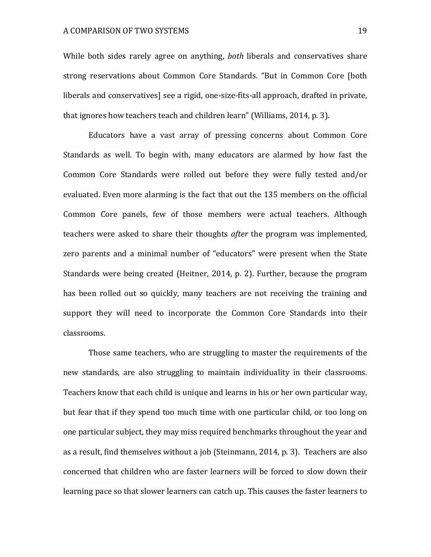While both sides rarely agree on anything, *both* liberals and conservatives share strong reservations about Common Core Standards. "But in Common Core [both liberals and conservatives] see a rigid, one-size-fits-all approach, drafted in private, that ignores how teachers teach and children learn" (Williams, 2014, p. 3).

Educators have a vast array of pressing concerns about Common Core Standards as well. To begin with, many educators are alarmed by how fast the Common Core Standards were rolled out before they were fully tested and/or evaluated. Even more alarming is the fact that out the 135 members on the official Common Core panels, few of those members were actual teachers. Although teachers were asked to share their thoughts *after* the program was implemented, zero parents and a minimal number of "educators" were present when the State Standards were being created (Heitner, 2014, p. 2). Further, because the program has been rolled out so quickly, many teachers are not receiving the training and support they will need to incorporate the Common Core Standards into their classrooms. 

Those same teachers, who are struggling to master the requirements of the new standards, are also struggling to maintain individuality in their classrooms. Teachers know that each child is unique and learns in his or her own particular way, but fear that if they spend too much time with one particular child, or too long on one particular subject, they may miss required benchmarks throughout the year and as a result, find themselves without a job (Steinmann, 2014, p. 3). Teachers are also concerned that children who are faster learners will be forced to slow down their learning pace so that slower learners can catch up. This causes the faster learners to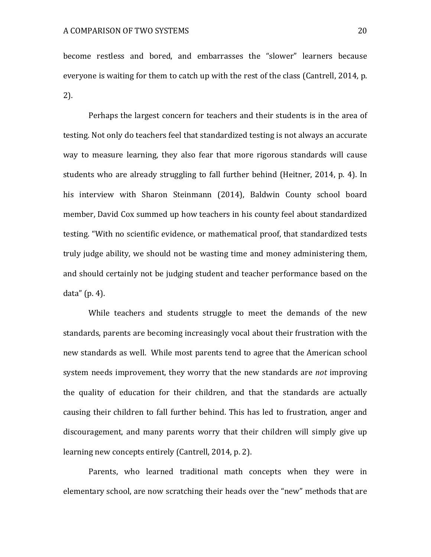become restless and bored, and embarrasses the "slower" learners because everyone is waiting for them to catch up with the rest of the class (Cantrell, 2014, p. 2).

Perhaps the largest concern for teachers and their students is in the area of testing. Not only do teachers feel that standardized testing is not always an accurate way to measure learning, they also fear that more rigorous standards will cause students who are already struggling to fall further behind (Heitner, 2014, p. 4). In his interview with Sharon Steinmann (2014), Baldwin County school board member, David Cox summed up how teachers in his county feel about standardized testing. "With no scientific evidence, or mathematical proof, that standardized tests truly judge ability, we should not be wasting time and money administering them, and should certainly not be judging student and teacher performance based on the data" $(p. 4)$ .

While teachers and students struggle to meet the demands of the new standards, parents are becoming increasingly vocal about their frustration with the new standards as well. While most parents tend to agree that the American school system needs improvement, they worry that the new standards are *not* improving the quality of education for their children, and that the standards are actually causing their children to fall further behind. This has led to frustration, anger and discouragement, and many parents worry that their children will simply give up learning new concepts entirely (Cantrell, 2014, p. 2).

Parents, who learned traditional math concepts when they were in elementary school, are now scratching their heads over the "new" methods that are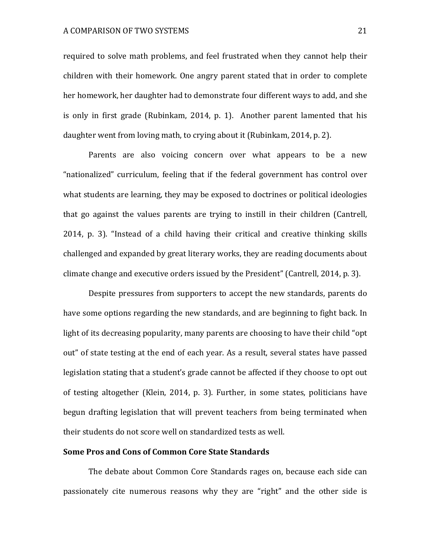required to solve math problems, and feel frustrated when they cannot help their children with their homework. One angry parent stated that in order to complete her homework, her daughter had to demonstrate four different ways to add, and she is only in first grade (Rubinkam, 2014, p. 1). Another parent lamented that his daughter went from loving math, to crying about it (Rubinkam, 2014, p. 2).

Parents are also voicing concern over what appears to be a new "nationalized" curriculum, feeling that if the federal government has control over what students are learning, they may be exposed to doctrines or political ideologies that go against the values parents are trying to instill in their children (Cantrell, 2014, p. 3). "Instead of a child having their critical and creative thinking skills challenged and expanded by great literary works, they are reading documents about climate change and executive orders issued by the President" (Cantrell, 2014, p. 3).

Despite pressures from supporters to accept the new standards, parents do have some options regarding the new standards, and are beginning to fight back. In light of its decreasing popularity, many parents are choosing to have their child "opt out" of state testing at the end of each year. As a result, several states have passed legislation stating that a student's grade cannot be affected if they choose to opt out of testing altogether (Klein, 2014, p. 3). Further, in some states, politicians have begun drafting legislation that will prevent teachers from being terminated when their students do not score well on standardized tests as well.

# **Some Pros and Cons of Common Core State Standards**

The debate about Common Core Standards rages on, because each side can passionately cite numerous reasons why they are "right" and the other side is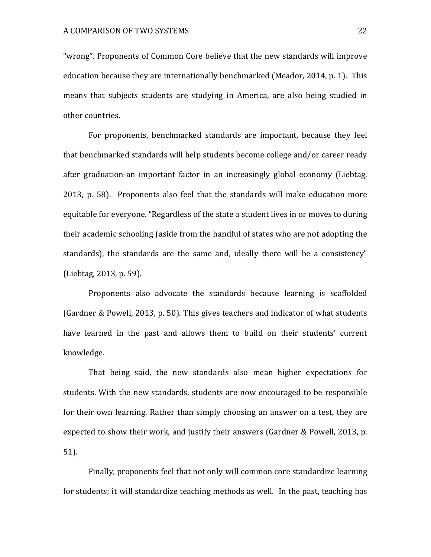"wrong". Proponents of Common Core believe that the new standards will improve education because they are internationally benchmarked (Meador, 2014, p. 1). This means that subjects students are studying in America, are also being studied in other countries.

For proponents, benchmarked standards are important, because they feel that benchmarked standards will help students become college and/or career ready after graduation-an important factor in an increasingly global economy (Liebtag, 2013, p. 58). Proponents also feel that the standards will make education more equitable for everyone. "Regardless of the state a student lives in or moves to during their academic schooling (aside from the handful of states who are not adopting the standards), the standards are the same and, ideally there will be a consistency" (Liebtag, 2013, p. 59).

Proponents also advocate the standards because learning is scaffolded (Gardner & Powell, 2013, p. 50). This gives teachers and indicator of what students have learned in the past and allows them to build on their students' current knowledge. 

That being said, the new standards also mean higher expectations for students. With the new standards, students are now encouraged to be responsible for their own learning. Rather than simply choosing an answer on a test, they are expected to show their work, and justify their answers (Gardner & Powell, 2013, p. 51). 

Finally, proponents feel that not only will common core standardize learning for students; it will standardize teaching methods as well. In the past, teaching has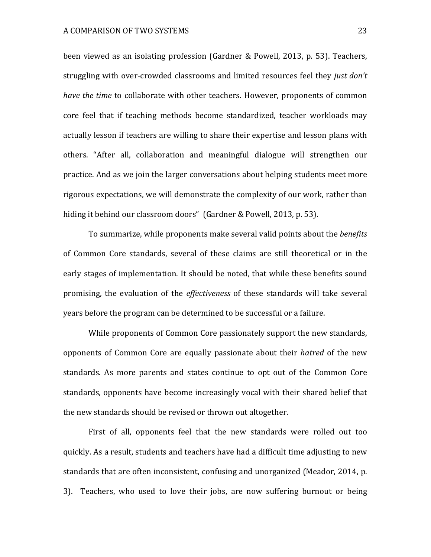been viewed as an isolating profession (Gardner & Powell, 2013, p. 53). Teachers, struggling with over-crowded classrooms and limited resources feel they *just don't have the time* to collaborate with other teachers. However, proponents of common core feel that if teaching methods become standardized, teacher workloads may actually lesson if teachers are willing to share their expertise and lesson plans with others. "After all, collaboration and meaningful dialogue will strengthen our practice. And as we join the larger conversations about helping students meet more rigorous expectations, we will demonstrate the complexity of our work, rather than hiding it behind our classroom doors" (Gardner & Powell, 2013, p. 53).

To summarize, while proponents make several valid points about the *benefits* of Common Core standards, several of these claims are still theoretical or in the early stages of implementation. It should be noted, that while these benefits sound promising, the evaluation of the *effectiveness* of these standards will take several years before the program can be determined to be successful or a failure.

While proponents of Common Core passionately support the new standards, opponents of Common Core are equally passionate about their *hatred* of the new standards. As more parents and states continue to opt out of the Common Core standards, opponents have become increasingly vocal with their shared belief that the new standards should be revised or thrown out altogether.

First of all, opponents feel that the new standards were rolled out too quickly. As a result, students and teachers have had a difficult time adjusting to new standards that are often inconsistent, confusing and unorganized (Meador, 2014, p. 3). Teachers, who used to love their jobs, are now suffering burnout or being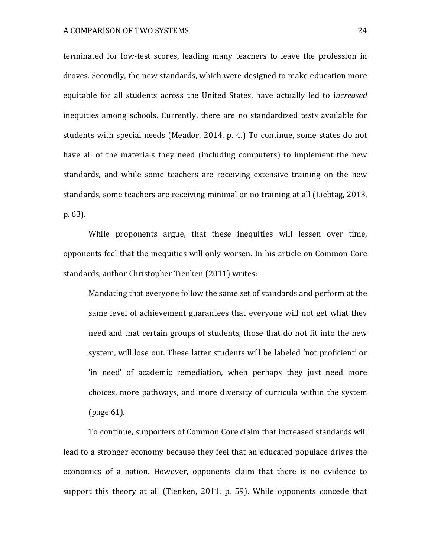terminated for low-test scores, leading many teachers to leave the profession in droves. Secondly, the new standards, which were designed to make education more equitable for all students across the United States, have actually led to *increased* inequities among schools. Currently, there are no standardized tests available for students with special needs (Meador, 2014, p. 4.) To continue, some states do not have all of the materials they need (including computers) to implement the new standards, and while some teachers are receiving extensive training on the new standards, some teachers are receiving minimal or no training at all (Liebtag, 2013, p. 63). 

While proponents argue, that these inequities will lessen over time, opponents feel that the inequities will only worsen. In his article on Common Core standards, author Christopher Tienken (2011) writes:

Mandating that everyone follow the same set of standards and perform at the same level of achievement guarantees that everyone will not get what they need and that certain groups of students, those that do not fit into the new system, will lose out. These latter students will be labeled 'not proficient' or 'in need' of academic remediation, when perhaps they just need more choices, more pathways, and more diversity of curricula within the system (page 61).

To continue, supporters of Common Core claim that increased standards will lead to a stronger economy because they feel that an educated populace drives the economics of a nation. However, opponents claim that there is no evidence to support this theory at all (Tienken, 2011, p. 59). While opponents concede that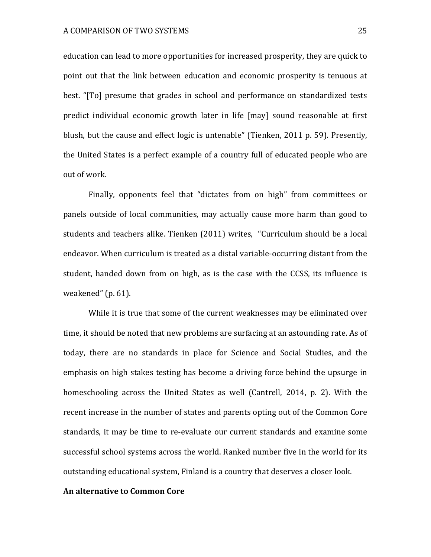education can lead to more opportunities for increased prosperity, they are quick to point out that the link between education and economic prosperity is tenuous at best. "[To] presume that grades in school and performance on standardized tests predict individual economic growth later in life [may] sound reasonable at first blush, but the cause and effect logic is untenable" (Tienken, 2011 p. 59). Presently, the United States is a perfect example of a country full of educated people who are out of work.

Finally, opponents feel that "dictates from on high" from committees or panels outside of local communities, may actually cause more harm than good to students and teachers alike. Tienken (2011) writes, "Curriculum should be a local endeavor. When curriculum is treated as a distal variable-occurring distant from the student, handed down from on high, as is the case with the CCSS, its influence is weakened"  $(p. 61)$ .

While it is true that some of the current weaknesses may be eliminated over time, it should be noted that new problems are surfacing at an astounding rate. As of today, there are no standards in place for Science and Social Studies, and the emphasis on high stakes testing has become a driving force behind the upsurge in homeschooling across the United States as well (Cantrell, 2014, p. 2). With the recent increase in the number of states and parents opting out of the Common Core standards, it may be time to re-evaluate our current standards and examine some successful school systems across the world. Ranked number five in the world for its outstanding educational system, Finland is a country that deserves a closer look.

# **An alternative to Common Core**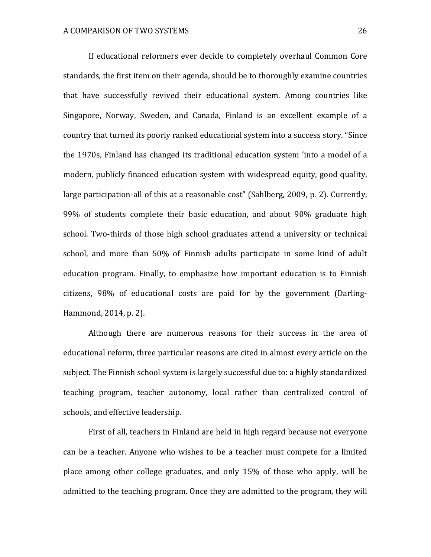If educational reformers ever decide to completely overhaul Common Core standards, the first item on their agenda, should be to thoroughly examine countries that have successfully revived their educational system. Among countries like Singapore, Norway, Sweden, and Canada, Finland is an excellent example of a country that turned its poorly ranked educational system into a success story. "Since the 1970s, Finland has changed its traditional education system 'into a model of a modern, publicly financed education system with widespread equity, good quality, large participation-all of this at a reasonable cost" (Sahlberg, 2009, p. 2). Currently, 99% of students complete their basic education, and about 90% graduate high school. Two-thirds of those high school graduates attend a university or technical school, and more than 50% of Finnish adults participate in some kind of adult education program. Finally, to emphasize how important education is to Finnish citizens, 98% of educational costs are paid for by the government (Darling-Hammond, 2014, p. 2).

Although there are numerous reasons for their success in the area of educational reform, three particular reasons are cited in almost every article on the subject. The Finnish school system is largely successful due to: a highly standardized teaching program, teacher autonomy, local rather than centralized control of schools, and effective leadership.

First of all, teachers in Finland are held in high regard because not everyone can be a teacher. Anyone who wishes to be a teacher must compete for a limited place among other college graduates, and only 15% of those who apply, will be admitted to the teaching program. Once they are admitted to the program, they will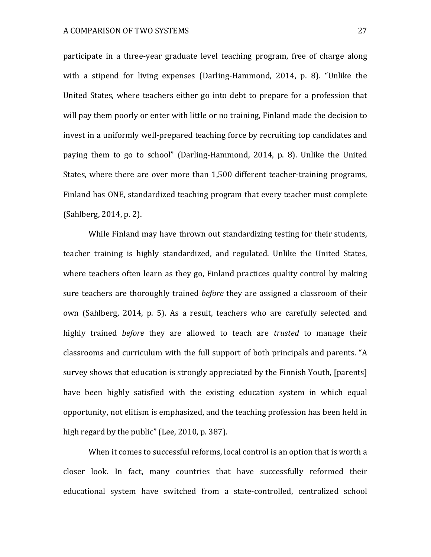participate in a three-year graduate level teaching program, free of charge along with a stipend for living expenses (Darling-Hammond,  $2014$ , p. 8). "Unlike the United States, where teachers either go into debt to prepare for a profession that will pay them poorly or enter with little or no training, Finland made the decision to invest in a uniformly well-prepared teaching force by recruiting top candidates and paying them to go to school" (Darling-Hammond, 2014, p. 8). Unlike the United States, where there are over more than 1,500 different teacher-training programs, Finland has ONE, standardized teaching program that every teacher must complete  $(Sahlberg, 2014, p. 2)$ .

While Finland may have thrown out standardizing testing for their students, teacher training is highly standardized, and regulated. Unlike the United States, where teachers often learn as they go, Finland practices quality control by making sure teachers are thoroughly trained *before* they are assigned a classroom of their own (Sahlberg, 2014, p. 5). As a result, teachers who are carefully selected and highly trained *before* they are allowed to teach are *trusted* to manage their classrooms and curriculum with the full support of both principals and parents. "A survey shows that education is strongly appreciated by the Finnish Youth, [parents] have been highly satisfied with the existing education system in which equal opportunity, not elitism is emphasized, and the teaching profession has been held in high regard by the public" (Lee, 2010, p. 387).

When it comes to successful reforms, local control is an option that is worth a closer look. In fact, many countries that have successfully reformed their educational system have switched from a state-controlled, centralized school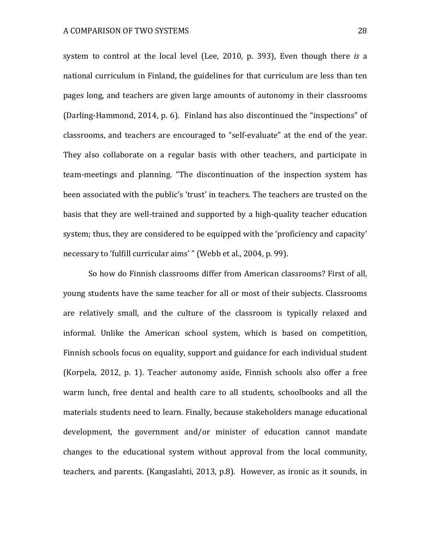system to control at the local level (Lee, 2010, p. 393), Even though there *is* a national curriculum in Finland, the guidelines for that curriculum are less than ten pages long, and teachers are given large amounts of autonomy in their classrooms (Darling-Hammond, 2014, p. 6). Finland has also discontinued the "inspections" of classrooms, and teachers are encouraged to "self-evaluate" at the end of the year. They also collaborate on a regular basis with other teachers, and participate in team-meetings and planning. "The discontinuation of the inspection system has been associated with the public's 'trust' in teachers. The teachers are trusted on the basis that they are well-trained and supported by a high-quality teacher education system; thus, they are considered to be equipped with the 'proficiency and capacity' necessary to 'fulfill curricular aims' " (Webb et al., 2004, p. 99).

So how do Finnish classrooms differ from American classrooms? First of all, young students have the same teacher for all or most of their subjects. Classrooms are relatively small, and the culture of the classroom is typically relaxed and informal. Unlike the American school system, which is based on competition, Finnish schools focus on equality, support and guidance for each individual student (Korpela, 2012, p. 1). Teacher autonomy aside, Finnish schools also offer a free warm lunch, free dental and health care to all students, schoolbooks and all the materials students need to learn. Finally, because stakeholders manage educational development, the government and/or minister of education cannot mandate changes to the educational system without approval from the local community, teachers, and parents. (Kangaslahti, 2013, p.8). However, as ironic as it sounds, in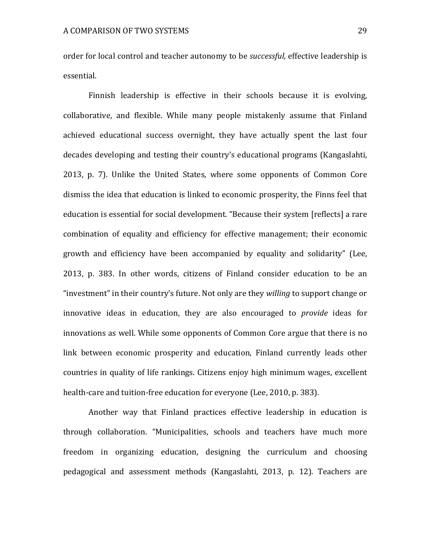order for local control and teacher autonomy to be *successful*, effective leadership is essential.

Finnish leadership is effective in their schools because it is evolving, collaborative, and flexible. While many people mistakenly assume that Finland achieved educational success overnight, they have actually spent the last four decades developing and testing their country's educational programs (Kangaslahti, 2013, p. 7). Unlike the United States, where some opponents of Common Core dismiss the idea that education is linked to economic prosperity, the Finns feel that education is essential for social development. "Because their system [reflects] a rare combination of equality and efficiency for effective management; their economic growth and efficiency have been accompanied by equality and solidarity" (Lee, 2013, p. 383. In other words, citizens of Finland consider education to be an "investment" in their country's future. Not only are they *willing* to support change or innovative ideas in education, they are also encouraged to *provide* ideas for innovations as well. While some opponents of Common Core argue that there is no link between economic prosperity and education, Finland currently leads other countries in quality of life rankings. Citizens enjoy high minimum wages, excellent health-care and tuition-free education for everyone (Lee, 2010, p. 383).

Another way that Finland practices effective leadership in education is through collaboration. "Municipalities, schools and teachers have much more freedom in organizing education, designing the curriculum and choosing pedagogical and assessment methods (Kangaslahti, 2013, p. 12). Teachers are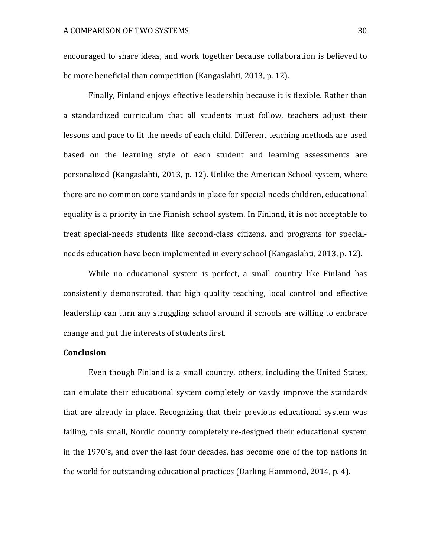encouraged to share ideas, and work together because collaboration is believed to be more beneficial than competition (Kangaslahti, 2013, p. 12).

Finally, Finland enjoys effective leadership because it is flexible. Rather than a standardized curriculum that all students must follow, teachers adjust their lessons and pace to fit the needs of each child. Different teaching methods are used based on the learning style of each student and learning assessments are personalized (Kangaslahti, 2013, p. 12). Unlike the American School system, where there are no common core standards in place for special-needs children, educational equality is a priority in the Finnish school system. In Finland, it is not acceptable to treat special-needs students like second-class citizens, and programs for specialneeds education have been implemented in every school (Kangaslahti, 2013, p. 12).

While no educational system is perfect, a small country like Finland has consistently demonstrated, that high quality teaching, local control and effective leadership can turn any struggling school around if schools are willing to embrace change and put the interests of students first.

# **Conclusion**

Even though Finland is a small country, others, including the United States, can emulate their educational system completely or vastly improve the standards that are already in place. Recognizing that their previous educational system was failing, this small, Nordic country completely re-designed their educational system in the 1970's, and over the last four decades, has become one of the top nations in the world for outstanding educational practices (Darling-Hammond, 2014, p. 4).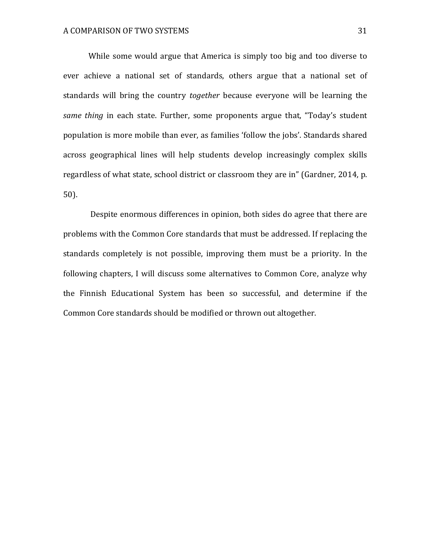While some would argue that America is simply too big and too diverse to ever achieve a national set of standards, others argue that a national set of standards will bring the country *together* because everyone will be learning the *same thing* in each state. Further, some proponents argue that, "Today's student population is more mobile than ever, as families 'follow the jobs'. Standards shared across geographical lines will help students develop increasingly complex skills regardless of what state, school district or classroom they are in" (Gardner, 2014, p. 50).

Despite enormous differences in opinion, both sides do agree that there are problems with the Common Core standards that must be addressed. If replacing the standards completely is not possible, improving them must be a priority. In the following chapters, I will discuss some alternatives to Common Core, analyze why the Finnish Educational System has been so successful, and determine if the Common Core standards should be modified or thrown out altogether.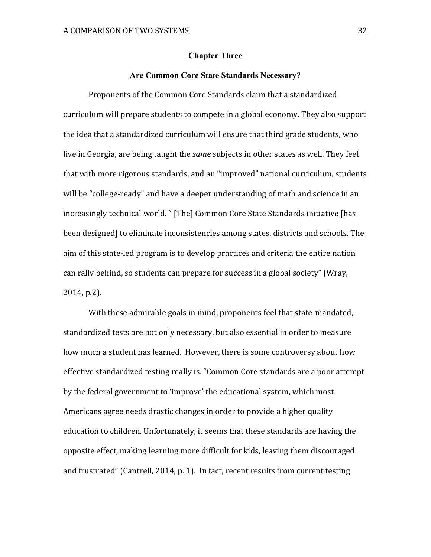#### **Chapter Three**

# **Are Common Core State Standards Necessary?**

Proponents of the Common Core Standards claim that a standardized curriculum will prepare students to compete in a global economy. They also support the idea that a standardized curriculum will ensure that third grade students, who live in Georgia, are being taught the *same* subjects in other states as well. They feel that with more rigorous standards, and an "improved" national curriculum, students will be "college-ready" and have a deeper understanding of math and science in an increasingly technical world. " [The] Common Core State Standards initiative [has been designed] to eliminate inconsistencies among states, districts and schools. The aim of this state-led program is to develop practices and criteria the entire nation can rally behind, so students can prepare for success in a global society" (Wray,  $2014, p.2$ ).

With these admirable goals in mind, proponents feel that state-mandated, standardized tests are not only necessary, but also essential in order to measure how much a student has learned. However, there is some controversy about how effective standardized testing really is. "Common Core standards are a poor attempt by the federal government to 'improve' the educational system, which most Americans agree needs drastic changes in order to provide a higher quality education to children. Unfortunately, it seems that these standards are having the opposite effect, making learning more difficult for kids, leaving them discouraged and frustrated" (Cantrell, 2014, p. 1). In fact, recent results from current testing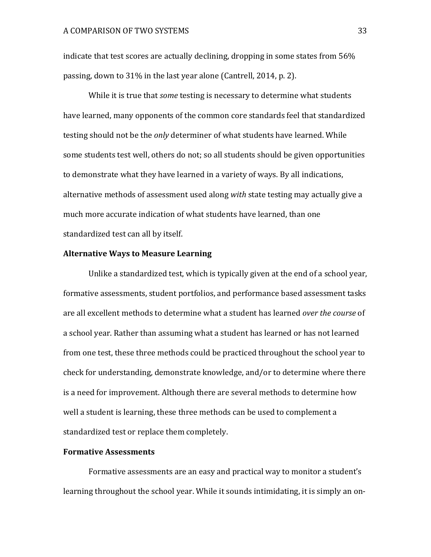indicate that test scores are actually declining, dropping in some states from  $56\%$ passing, down to  $31\%$  in the last year alone (Cantrell, 2014, p. 2).

While it is true that *some* testing is necessary to determine what students have learned, many opponents of the common core standards feel that standardized testing should not be the *only* determiner of what students have learned. While some students test well, others do not; so all students should be given opportunities to demonstrate what they have learned in a variety of ways. By all indications, alternative methods of assessment used along *with* state testing may actually give a much more accurate indication of what students have learned, than one standardized test can all by itself.

# **Alternative Ways to Measure Learning**

Unlike a standardized test, which is typically given at the end of a school year, formative assessments, student portfolios, and performance based assessment tasks are all excellent methods to determine what a student has learned *over the course* of a school year. Rather than assuming what a student has learned or has not learned from one test, these three methods could be practiced throughout the school year to check for understanding, demonstrate knowledge, and/or to determine where there is a need for improvement. Although there are several methods to determine how well a student is learning, these three methods can be used to complement a standardized test or replace them completely.

# **Formative Assessments**

Formative assessments are an easy and practical way to monitor a student's learning throughout the school year. While it sounds intimidating, it is simply an on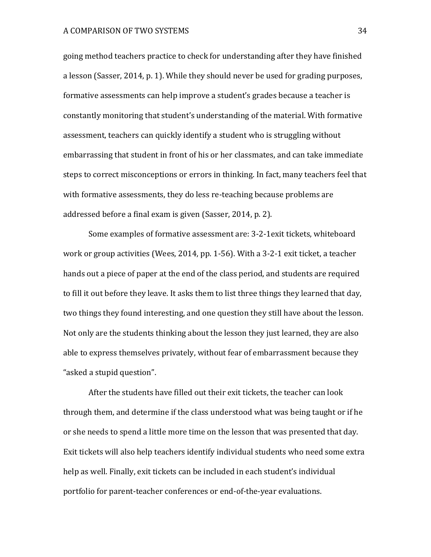going method teachers practice to check for understanding after they have finished a lesson (Sasser, 2014, p. 1). While they should never be used for grading purposes, formative assessments can help improve a student's grades because a teacher is constantly monitoring that student's understanding of the material. With formative assessment, teachers can quickly identify a student who is struggling without embarrassing that student in front of his or her classmates, and can take immediate steps to correct misconceptions or errors in thinking. In fact, many teachers feel that with formative assessments, they do less re-teaching because problems are addressed before a final exam is given (Sasser, 2014, p. 2).

Some examples of formative assessment are: 3-2-1exit tickets, whiteboard work or group activities (Wees, 2014, pp. 1-56). With a 3-2-1 exit ticket, a teacher hands out a piece of paper at the end of the class period, and students are required to fill it out before they leave. It asks them to list three things they learned that day, two things they found interesting, and one question they still have about the lesson. Not only are the students thinking about the lesson they just learned, they are also able to express themselves privately, without fear of embarrassment because they "asked a stupid question".

After the students have filled out their exit tickets, the teacher can look through them, and determine if the class understood what was being taught or if he or she needs to spend a little more time on the lesson that was presented that day. Exit tickets will also help teachers identify individual students who need some extra help as well. Finally, exit tickets can be included in each student's individual portfolio for parent-teacher conferences or end-of-the-year evaluations.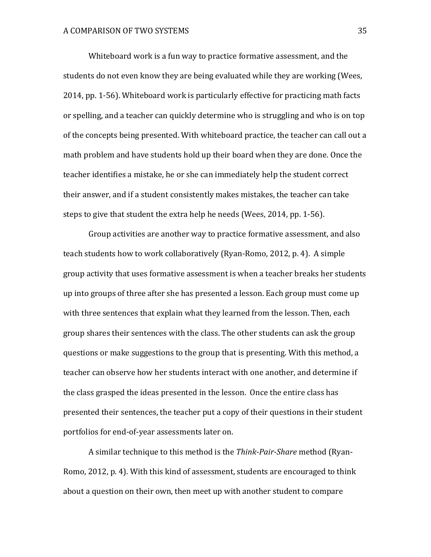Whiteboard work is a fun way to practice formative assessment, and the students do not even know they are being evaluated while they are working (Wees, 2014, pp. 1-56). Whiteboard work is particularly effective for practicing math facts or spelling, and a teacher can quickly determine who is struggling and who is on top of the concepts being presented. With whiteboard practice, the teacher can call out a math problem and have students hold up their board when they are done. Once the teacher identifies a mistake, he or she can immediately help the student correct their answer, and if a student consistently makes mistakes, the teacher can take steps to give that student the extra help he needs (Wees, 2014, pp. 1-56).

Group activities are another way to practice formative assessment, and also teach students how to work collaboratively (Ryan-Romo, 2012, p. 4). A simple group activity that uses formative assessment is when a teacher breaks her students up into groups of three after she has presented a lesson. Each group must come up with three sentences that explain what they learned from the lesson. Then, each group shares their sentences with the class. The other students can ask the group questions or make suggestions to the group that is presenting. With this method, a teacher can observe how her students interact with one another, and determine if the class grasped the ideas presented in the lesson. Once the entire class has presented their sentences, the teacher put a copy of their questions in their student portfolios for end-of-year assessments later on.

A similar technique to this method is the *Think-Pair-Share* method (Ryan-Romo, 2012, p. 4). With this kind of assessment, students are encouraged to think about a question on their own, then meet up with another student to compare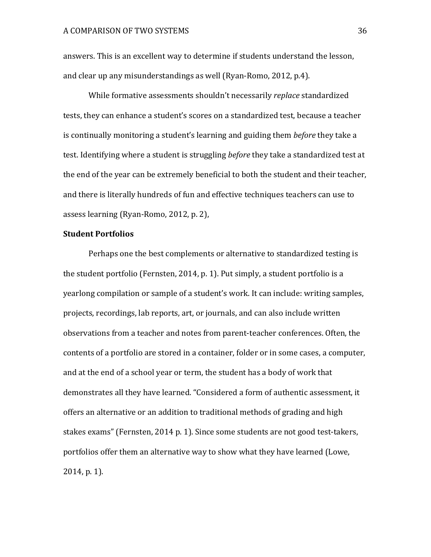answers. This is an excellent way to determine if students understand the lesson, and clear up any misunderstandings as well (Ryan-Romo, 2012, p.4).

While formative assessments shouldn't necessarily *replace* standardized tests, they can enhance a student's scores on a standardized test, because a teacher is continually monitoring a student's learning and guiding them *before* they take a test. Identifying where a student is struggling *before* they take a standardized test at the end of the year can be extremely beneficial to both the student and their teacher, and there is literally hundreds of fun and effective techniques teachers can use to assess learning (Ryan-Romo, 2012, p. 2),

# **Student Portfolios**

Perhaps one the best complements or alternative to standardized testing is the student portfolio (Fernsten, 2014, p. 1). Put simply, a student portfolio is a yearlong compilation or sample of a student's work. It can include: writing samples, projects, recordings, lab reports, art, or journals, and can also include written observations from a teacher and notes from parent-teacher conferences. Often, the contents of a portfolio are stored in a container, folder or in some cases, a computer, and at the end of a school year or term, the student has a body of work that demonstrates all they have learned. "Considered a form of authentic assessment, it offers an alternative or an addition to traditional methods of grading and high stakes exams" (Fernsten, 2014 p. 1). Since some students are not good test-takers, portfolios offer them an alternative way to show what they have learned (Lowe,  $2014$ , p. 1).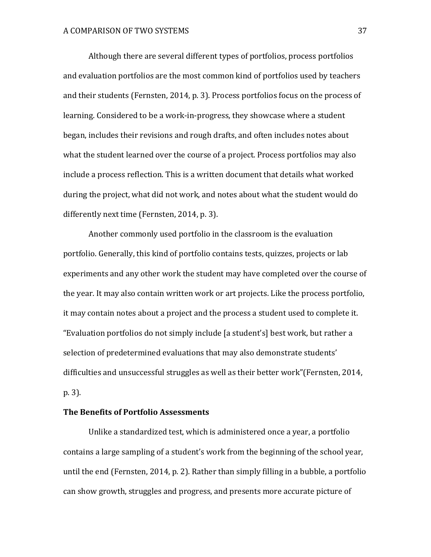Although there are several different types of portfolios, process portfolios and evaluation portfolios are the most common kind of portfolios used by teachers and their students (Fernsten, 2014, p. 3). Process portfolios focus on the process of learning. Considered to be a work-in-progress, they showcase where a student began, includes their revisions and rough drafts, and often includes notes about what the student learned over the course of a project. Process portfolios may also include a process reflection. This is a written document that details what worked during the project, what did not work, and notes about what the student would do differently next time (Fernsten, 2014, p. 3).

Another commonly used portfolio in the classroom is the evaluation portfolio. Generally, this kind of portfolio contains tests, quizzes, projects or lab experiments and any other work the student may have completed over the course of the year. It may also contain written work or art projects. Like the process portfolio, it may contain notes about a project and the process a student used to complete it. "Evaluation portfolios do not simply include [a student's] best work, but rather a selection of predetermined evaluations that may also demonstrate students' difficulties and unsuccessful struggles as well as their better work"(Fernsten, 2014, p. 3).

# **The Benefits of Portfolio Assessments**

Unlike a standardized test, which is administered once a year, a portfolio contains a large sampling of a student's work from the beginning of the school year, until the end (Fernsten, 2014, p. 2). Rather than simply filling in a bubble, a portfolio can show growth, struggles and progress, and presents more accurate picture of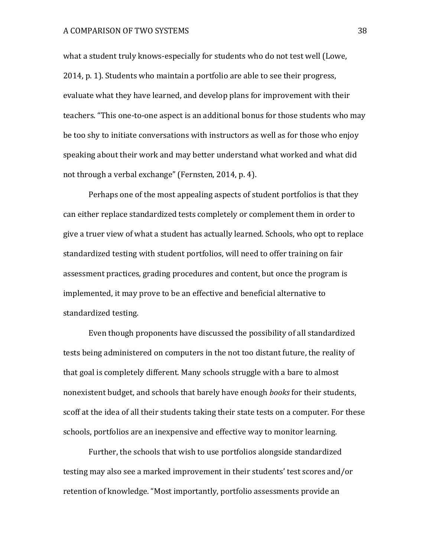#### A COMPARISON OF TWO SYSTEMS  $38$

what a student truly knows-especially for students who do not test well (Lowe, 2014, p. 1). Students who maintain a portfolio are able to see their progress, evaluate what they have learned, and develop plans for improvement with their teachers. "This one-to-one aspect is an additional bonus for those students who may be too shy to initiate conversations with instructors as well as for those who enjoy speaking about their work and may better understand what worked and what did not through a verbal exchange" (Fernsten, 2014, p. 4).

Perhaps one of the most appealing aspects of student portfolios is that they can either replace standardized tests completely or complement them in order to give a truer view of what a student has actually learned. Schools, who opt to replace standardized testing with student portfolios, will need to offer training on fair assessment practices, grading procedures and content, but once the program is implemented, it may prove to be an effective and beneficial alternative to standardized testing.

Even though proponents have discussed the possibility of all standardized tests being administered on computers in the not too distant future, the reality of that goal is completely different. Many schools struggle with a bare to almost nonexistent budget, and schools that barely have enough *books* for their students, scoff at the idea of all their students taking their state tests on a computer. For these schools, portfolios are an inexpensive and effective way to monitor learning.

Further, the schools that wish to use portfolios alongside standardized testing may also see a marked improvement in their students' test scores and/or retention of knowledge. "Most importantly, portfolio assessments provide an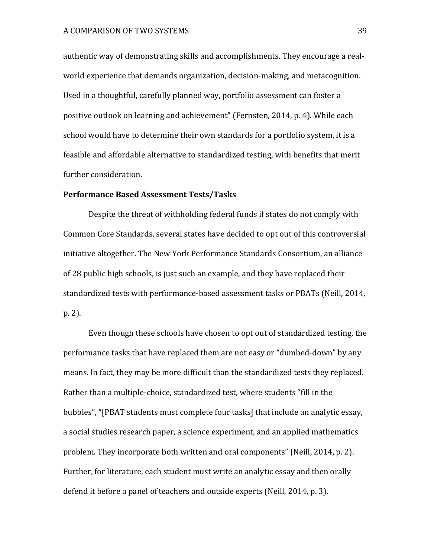authentic way of demonstrating skills and accomplishments. They encourage a realworld experience that demands organization, decision-making, and metacognition, Used in a thoughtful, carefully planned way, portfolio assessment can foster a positive outlook on learning and achievement" (Fernsten, 2014, p. 4). While each school would have to determine their own standards for a portfolio system, it is a feasible and affordable alternative to standardized testing, with benefits that merit further consideration.

# **Performance Based Assessment Tests/Tasks**

Despite the threat of withholding federal funds if states do not comply with Common Core Standards, several states have decided to opt out of this controversial initiative altogether. The New York Performance Standards Consortium, an alliance of 28 public high schools, is just such an example, and they have replaced their standardized tests with performance-based assessment tasks or PBATs (Neill, 2014, p. 2). 

Even though these schools have chosen to opt out of standardized testing, the performance tasks that have replaced them are not easy or "dumbed-down" by any means. In fact, they may be more difficult than the standardized tests they replaced. Rather than a multiple-choice, standardized test, where students "fill in the bubbles", "[PBAT students must complete four tasks] that include an analytic essay, a social studies research paper, a science experiment, and an applied mathematics problem. They incorporate both written and oral components" (Neill, 2014, p. 2). Further, for literature, each student must write an analytic essay and then orally defend it before a panel of teachers and outside experts (Neill, 2014, p. 3).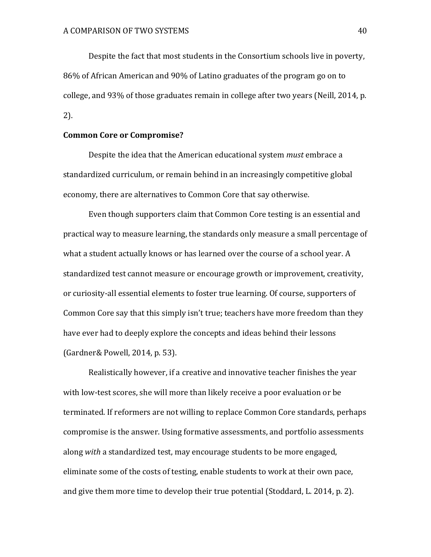Despite the fact that most students in the Consortium schools live in poverty, 86% of African American and 90% of Latino graduates of the program go on to college, and 93% of those graduates remain in college after two years (Neill, 2014, p. 2). 

# **Common Core or Compromise?**

Despite the idea that the American educational system *must* embrace a standardized curriculum, or remain behind in an increasingly competitive global economy, there are alternatives to Common Core that say otherwise.

Even though supporters claim that Common Core testing is an essential and practical way to measure learning, the standards only measure a small percentage of what a student actually knows or has learned over the course of a school year. A standardized test cannot measure or encourage growth or improvement, creativity, or curiosity-all essential elements to foster true learning. Of course, supporters of Common Core say that this simply isn't true; teachers have more freedom than they have ever had to deeply explore the concepts and ideas behind their lessons (Gardner& Powell, 2014, p. 53).

Realistically however, if a creative and innovative teacher finishes the year with low-test scores, she will more than likely receive a poor evaluation or be terminated. If reformers are not willing to replace Common Core standards, perhaps compromise is the answer. Using formative assessments, and portfolio assessments along *with* a standardized test, may encourage students to be more engaged, eliminate some of the costs of testing, enable students to work at their own pace, and give them more time to develop their true potential (Stoddard, L. 2014, p. 2).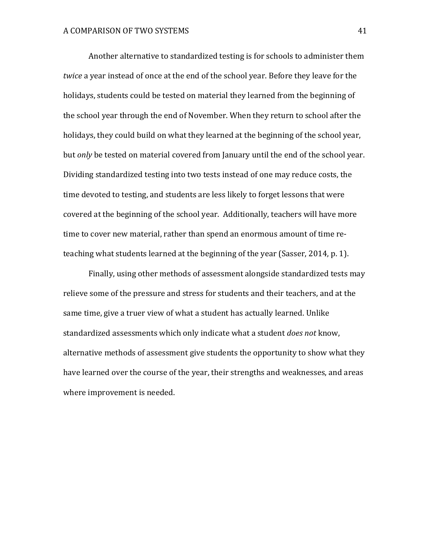Another alternative to standardized testing is for schools to administer them *twice* a vear instead of once at the end of the school vear. Before they leave for the holidays, students could be tested on material they learned from the beginning of the school year through the end of November. When they return to school after the holidays, they could build on what they learned at the beginning of the school year, but *only* be tested on material covered from January until the end of the school vear. Dividing standardized testing into two tests instead of one may reduce costs, the time devoted to testing, and students are less likely to forget lessons that were covered at the beginning of the school year. Additionally, teachers will have more time to cover new material, rather than spend an enormous amount of time reteaching what students learned at the beginning of the year (Sasser, 2014, p. 1).

Finally, using other methods of assessment alongside standardized tests may relieve some of the pressure and stress for students and their teachers, and at the same time, give a truer view of what a student has actually learned. Unlike standardized assessments which only indicate what a student *does not* know, alternative methods of assessment give students the opportunity to show what they have learned over the course of the year, their strengths and weaknesses, and areas where improvement is needed.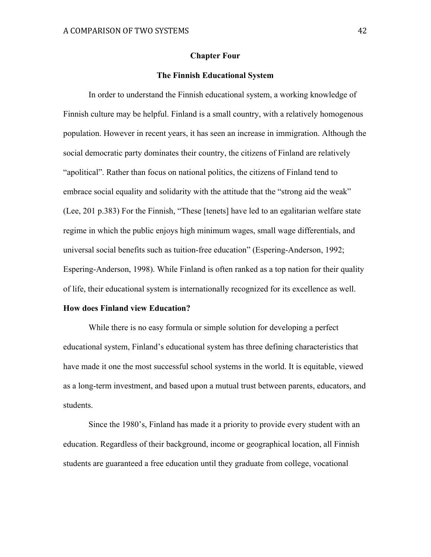#### **Chapter Four**

#### **The Finnish Educational System**

In order to understand the Finnish educational system, a working knowledge of Finnish culture may be helpful. Finland is a small country, with a relatively homogenous population. However in recent years, it has seen an increase in immigration. Although the social democratic party dominates their country, the citizens of Finland are relatively "apolitical". Rather than focus on national politics, the citizens of Finland tend to embrace social equality and solidarity with the attitude that the "strong aid the weak" (Lee, 201 p.383) For the Finnish, "These [tenets] have led to an egalitarian welfare state regime in which the public enjoys high minimum wages, small wage differentials, and universal social benefits such as tuition-free education" (Espering-Anderson, 1992; Espering-Anderson, 1998). While Finland is often ranked as a top nation for their quality of life, their educational system is internationally recognized for its excellence as well.

#### **How does Finland view Education?**

While there is no easy formula or simple solution for developing a perfect educational system, Finland's educational system has three defining characteristics that have made it one the most successful school systems in the world. It is equitable, viewed as a long-term investment, and based upon a mutual trust between parents, educators, and students.

Since the 1980's, Finland has made it a priority to provide every student with an education. Regardless of their background, income or geographical location, all Finnish students are guaranteed a free education until they graduate from college, vocational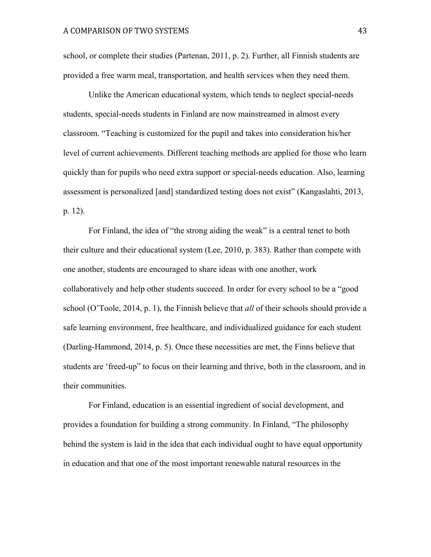school, or complete their studies (Partenan, 2011, p. 2). Further, all Finnish students are provided a free warm meal, transportation, and health services when they need them.

Unlike the American educational system, which tends to neglect special-needs students, special-needs students in Finland are now mainstreamed in almost every classroom. "Teaching is customized for the pupil and takes into consideration his/her level of current achievements. Different teaching methods are applied for those who learn quickly than for pupils who need extra support or special-needs education. Also, learning assessment is personalized [and] standardized testing does not exist" (Kangaslahti, 2013, p. 12).

For Finland, the idea of "the strong aiding the weak" is a central tenet to both their culture and their educational system (Lee, 2010, p. 383). Rather than compete with one another, students are encouraged to share ideas with one another, work collaboratively and help other students succeed. In order for every school to be a "good school (O'Toole, 2014, p. 1), the Finnish believe that *all* of their schools should provide a safe learning environment, free healthcare, and individualized guidance for each student (Darling-Hammond, 2014, p. 5). Once these necessities are met, the Finns believe that students are 'freed-up" to focus on their learning and thrive, both in the classroom, and in their communities.

For Finland, education is an essential ingredient of social development, and provides a foundation for building a strong community. In Finland, "The philosophy behind the system is laid in the idea that each individual ought to have equal opportunity in education and that one of the most important renewable natural resources in the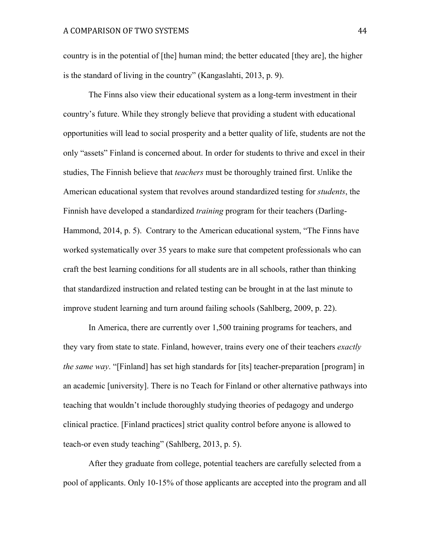country is in the potential of [the] human mind; the better educated [they are], the higher is the standard of living in the country" (Kangaslahti, 2013, p. 9).

The Finns also view their educational system as a long-term investment in their country's future. While they strongly believe that providing a student with educational opportunities will lead to social prosperity and a better quality of life, students are not the only "assets" Finland is concerned about. In order for students to thrive and excel in their studies, The Finnish believe that *teachers* must be thoroughly trained first. Unlike the American educational system that revolves around standardized testing for *students*, the Finnish have developed a standardized *training* program for their teachers (Darling-Hammond, 2014, p. 5). Contrary to the American educational system, "The Finns have worked systematically over 35 years to make sure that competent professionals who can craft the best learning conditions for all students are in all schools, rather than thinking that standardized instruction and related testing can be brought in at the last minute to improve student learning and turn around failing schools (Sahlberg, 2009, p. 22).

In America, there are currently over 1,500 training programs for teachers, and they vary from state to state. Finland, however, trains every one of their teachers *exactly the same way*. "[Finland] has set high standards for [its] teacher-preparation [program] in an academic [university]. There is no Teach for Finland or other alternative pathways into teaching that wouldn't include thoroughly studying theories of pedagogy and undergo clinical practice. [Finland practices] strict quality control before anyone is allowed to teach-or even study teaching" (Sahlberg, 2013, p. 5).

After they graduate from college, potential teachers are carefully selected from a pool of applicants. Only 10-15% of those applicants are accepted into the program and all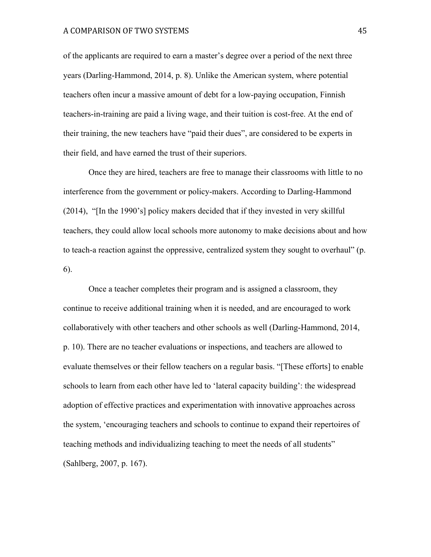#### A COMPARISON OF TWO SYSTEMS 45

of the applicants are required to earn a master's degree over a period of the next three years (Darling-Hammond, 2014, p. 8). Unlike the American system, where potential teachers often incur a massive amount of debt for a low-paying occupation, Finnish teachers-in-training are paid a living wage, and their tuition is cost-free. At the end of their training, the new teachers have "paid their dues", are considered to be experts in their field, and have earned the trust of their superiors.

Once they are hired, teachers are free to manage their classrooms with little to no interference from the government or policy-makers. According to Darling-Hammond (2014), "[In the 1990's] policy makers decided that if they invested in very skillful teachers, they could allow local schools more autonomy to make decisions about and how to teach-a reaction against the oppressive, centralized system they sought to overhaul" (p. 6).

Once a teacher completes their program and is assigned a classroom, they continue to receive additional training when it is needed, and are encouraged to work collaboratively with other teachers and other schools as well (Darling-Hammond, 2014, p. 10). There are no teacher evaluations or inspections, and teachers are allowed to evaluate themselves or their fellow teachers on a regular basis. "[These efforts] to enable schools to learn from each other have led to 'lateral capacity building': the widespread adoption of effective practices and experimentation with innovative approaches across the system, 'encouraging teachers and schools to continue to expand their repertoires of teaching methods and individualizing teaching to meet the needs of all students" (Sahlberg, 2007, p. 167).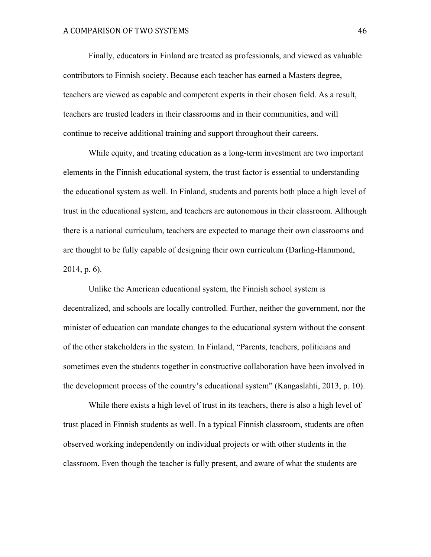Finally, educators in Finland are treated as professionals, and viewed as valuable contributors to Finnish society. Because each teacher has earned a Masters degree, teachers are viewed as capable and competent experts in their chosen field. As a result, teachers are trusted leaders in their classrooms and in their communities, and will continue to receive additional training and support throughout their careers.

While equity, and treating education as a long-term investment are two important elements in the Finnish educational system, the trust factor is essential to understanding the educational system as well. In Finland, students and parents both place a high level of trust in the educational system, and teachers are autonomous in their classroom. Although there is a national curriculum, teachers are expected to manage their own classrooms and are thought to be fully capable of designing their own curriculum (Darling-Hammond, 2014, p. 6).

Unlike the American educational system, the Finnish school system is decentralized, and schools are locally controlled. Further, neither the government, nor the minister of education can mandate changes to the educational system without the consent of the other stakeholders in the system. In Finland, "Parents, teachers, politicians and sometimes even the students together in constructive collaboration have been involved in the development process of the country's educational system" (Kangaslahti, 2013, p. 10).

While there exists a high level of trust in its teachers, there is also a high level of trust placed in Finnish students as well. In a typical Finnish classroom, students are often observed working independently on individual projects or with other students in the classroom. Even though the teacher is fully present, and aware of what the students are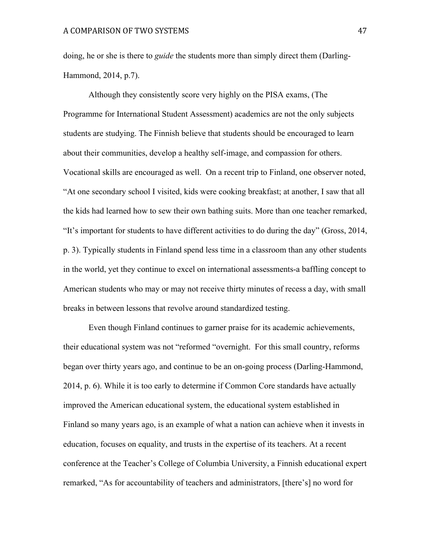doing, he or she is there to *guide* the students more than simply direct them (Darling-Hammond, 2014, p.7).

Although they consistently score very highly on the PISA exams, (The Programme for International Student Assessment) academics are not the only subjects students are studying. The Finnish believe that students should be encouraged to learn about their communities, develop a healthy self-image, and compassion for others. Vocational skills are encouraged as well. On a recent trip to Finland, one observer noted, "At one secondary school I visited, kids were cooking breakfast; at another, I saw that all the kids had learned how to sew their own bathing suits. More than one teacher remarked, "It's important for students to have different activities to do during the day" (Gross, 2014, p. 3). Typically students in Finland spend less time in a classroom than any other students in the world, yet they continue to excel on international assessments-a baffling concept to American students who may or may not receive thirty minutes of recess a day, with small breaks in between lessons that revolve around standardized testing.

Even though Finland continues to garner praise for its academic achievements, their educational system was not "reformed "overnight. For this small country, reforms began over thirty years ago, and continue to be an on-going process (Darling-Hammond, 2014, p. 6). While it is too early to determine if Common Core standards have actually improved the American educational system, the educational system established in Finland so many years ago, is an example of what a nation can achieve when it invests in education, focuses on equality, and trusts in the expertise of its teachers. At a recent conference at the Teacher's College of Columbia University, a Finnish educational expert remarked, "As for accountability of teachers and administrators, [there's] no word for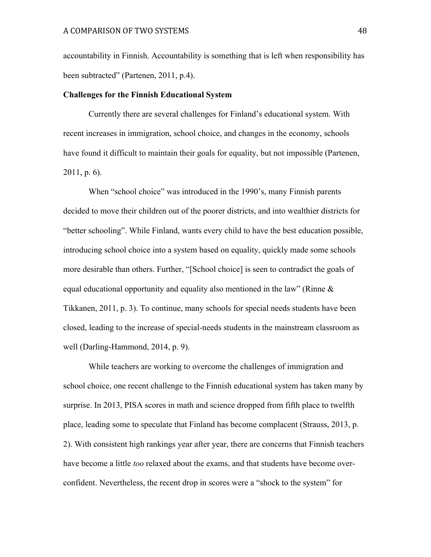accountability in Finnish. Accountability is something that is left when responsibility has been subtracted" (Partenen, 2011, p.4).

#### **Challenges for the Finnish Educational System**

Currently there are several challenges for Finland's educational system. With recent increases in immigration, school choice, and changes in the economy, schools have found it difficult to maintain their goals for equality, but not impossible (Partenen, 2011, p. 6).

When "school choice" was introduced in the 1990's, many Finnish parents decided to move their children out of the poorer districts, and into wealthier districts for "better schooling". While Finland, wants every child to have the best education possible, introducing school choice into a system based on equality, quickly made some schools more desirable than others. Further, "[School choice] is seen to contradict the goals of equal educational opportunity and equality also mentioned in the law" (Rinne & Tikkanen, 2011, p. 3). To continue, many schools for special needs students have been closed, leading to the increase of special-needs students in the mainstream classroom as well (Darling-Hammond, 2014, p. 9).

While teachers are working to overcome the challenges of immigration and school choice, one recent challenge to the Finnish educational system has taken many by surprise. In 2013, PISA scores in math and science dropped from fifth place to twelfth place, leading some to speculate that Finland has become complacent (Strauss, 2013, p. 2). With consistent high rankings year after year, there are concerns that Finnish teachers have become a little *too* relaxed about the exams, and that students have become overconfident. Nevertheless, the recent drop in scores were a "shock to the system" for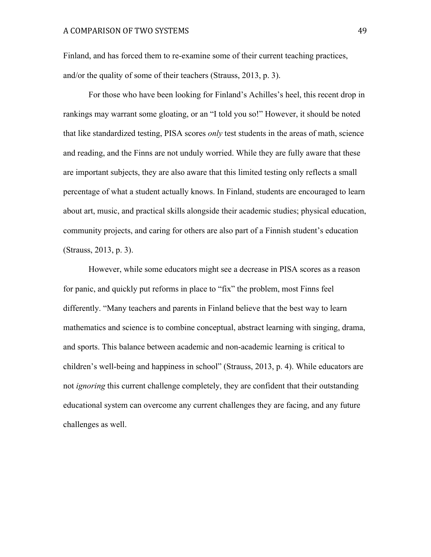Finland, and has forced them to re-examine some of their current teaching practices, and/or the quality of some of their teachers (Strauss, 2013, p. 3).

For those who have been looking for Finland's Achilles's heel, this recent drop in rankings may warrant some gloating, or an "I told you so!" However, it should be noted that like standardized testing, PISA scores *only* test students in the areas of math, science and reading, and the Finns are not unduly worried. While they are fully aware that these are important subjects, they are also aware that this limited testing only reflects a small percentage of what a student actually knows. In Finland, students are encouraged to learn about art, music, and practical skills alongside their academic studies; physical education, community projects, and caring for others are also part of a Finnish student's education (Strauss, 2013, p. 3).

However, while some educators might see a decrease in PISA scores as a reason for panic, and quickly put reforms in place to "fix" the problem, most Finns feel differently. "Many teachers and parents in Finland believe that the best way to learn mathematics and science is to combine conceptual, abstract learning with singing, drama, and sports. This balance between academic and non-academic learning is critical to children's well-being and happiness in school" (Strauss, 2013, p. 4). While educators are not *ignoring* this current challenge completely, they are confident that their outstanding educational system can overcome any current challenges they are facing, and any future challenges as well.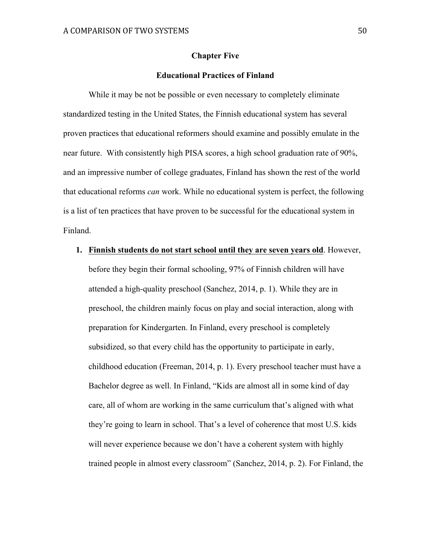#### **Chapter Five**

# **Educational Practices of Finland**

While it may be not be possible or even necessary to completely eliminate standardized testing in the United States, the Finnish educational system has several proven practices that educational reformers should examine and possibly emulate in the near future. With consistently high PISA scores, a high school graduation rate of 90%, and an impressive number of college graduates, Finland has shown the rest of the world that educational reforms *can* work. While no educational system is perfect, the following is a list of ten practices that have proven to be successful for the educational system in Finland.

**1. Finnish students do not start school until they are seven years old**. However,

before they begin their formal schooling, 97% of Finnish children will have attended a high-quality preschool (Sanchez, 2014, p. 1). While they are in preschool, the children mainly focus on play and social interaction, along with preparation for Kindergarten. In Finland, every preschool is completely subsidized, so that every child has the opportunity to participate in early, childhood education (Freeman, 2014, p. 1). Every preschool teacher must have a Bachelor degree as well. In Finland, "Kids are almost all in some kind of day care, all of whom are working in the same curriculum that's aligned with what they're going to learn in school. That's a level of coherence that most U.S. kids will never experience because we don't have a coherent system with highly trained people in almost every classroom" (Sanchez, 2014, p. 2). For Finland, the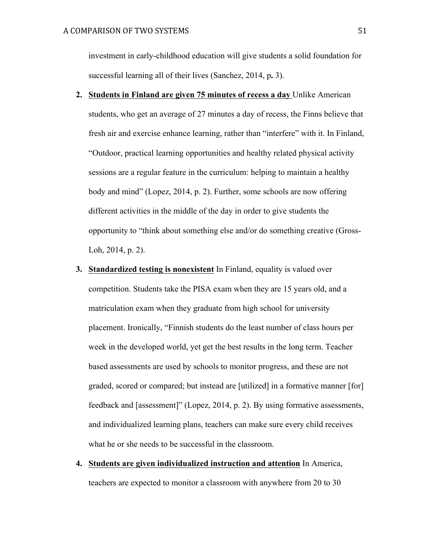investment in early-childhood education will give students a solid foundation for successful learning all of their lives (Sanchez, 2014, p**.** 3).

- **2. Students in Finland are given 75 minutes of recess a day** Unlike American students, who get an average of 27 minutes a day of recess, the Finns believe that fresh air and exercise enhance learning, rather than "interfere" with it. In Finland, "Outdoor, practical learning opportunities and healthy related physical activity sessions are a regular feature in the curriculum: helping to maintain a healthy body and mind" (Lopez, 2014, p. 2). Further, some schools are now offering different activities in the middle of the day in order to give students the opportunity to "think about something else and/or do something creative (Gross-Loh, 2014, p. 2).
- **3. Standardized testing is nonexistent** In Finland, equality is valued over competition. Students take the PISA exam when they are 15 years old, and a matriculation exam when they graduate from high school for university placement. Ironically, "Finnish students do the least number of class hours per week in the developed world, yet get the best results in the long term. Teacher based assessments are used by schools to monitor progress, and these are not graded, scored or compared; but instead are [utilized] in a formative manner [for] feedback and [assessment]" (Lopez, 2014, p. 2). By using formative assessments, and individualized learning plans, teachers can make sure every child receives what he or she needs to be successful in the classroom.
- **4. Students are given individualized instruction and attention** In America, teachers are expected to monitor a classroom with anywhere from 20 to 30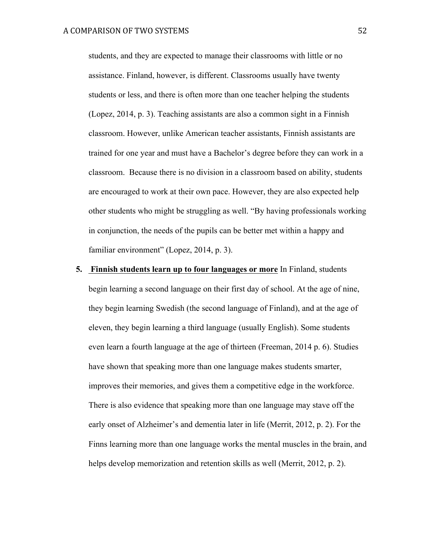students, and they are expected to manage their classrooms with little or no assistance. Finland, however, is different. Classrooms usually have twenty students or less, and there is often more than one teacher helping the students (Lopez, 2014, p. 3). Teaching assistants are also a common sight in a Finnish classroom. However, unlike American teacher assistants, Finnish assistants are trained for one year and must have a Bachelor's degree before they can work in a classroom. Because there is no division in a classroom based on ability, students are encouraged to work at their own pace. However, they are also expected help other students who might be struggling as well. "By having professionals working in conjunction, the needs of the pupils can be better met within a happy and familiar environment" (Lopez, 2014, p. 3).

# **5. Finnish students learn up to four languages or more** In Finland, students begin learning a second language on their first day of school. At the age of nine, they begin learning Swedish (the second language of Finland), and at the age of eleven, they begin learning a third language (usually English). Some students even learn a fourth language at the age of thirteen (Freeman, 2014 p. 6). Studies have shown that speaking more than one language makes students smarter, improves their memories, and gives them a competitive edge in the workforce. There is also evidence that speaking more than one language may stave off the early onset of Alzheimer's and dementia later in life (Merrit, 2012, p. 2). For the Finns learning more than one language works the mental muscles in the brain, and helps develop memorization and retention skills as well (Merrit, 2012, p. 2).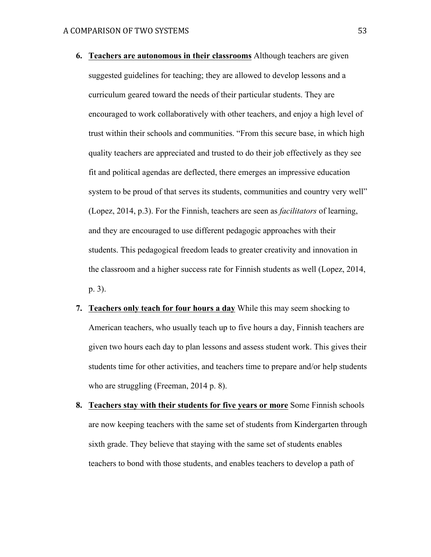- **6. Teachers are autonomous in their classrooms** Although teachers are given suggested guidelines for teaching; they are allowed to develop lessons and a curriculum geared toward the needs of their particular students. They are encouraged to work collaboratively with other teachers, and enjoy a high level of trust within their schools and communities. "From this secure base, in which high quality teachers are appreciated and trusted to do their job effectively as they see fit and political agendas are deflected, there emerges an impressive education system to be proud of that serves its students, communities and country very well" (Lopez, 2014, p.3). For the Finnish, teachers are seen as *facilitators* of learning, and they are encouraged to use different pedagogic approaches with their students. This pedagogical freedom leads to greater creativity and innovation in the classroom and a higher success rate for Finnish students as well (Lopez, 2014, p. 3).
- **7. Teachers only teach for four hours a day** While this may seem shocking to American teachers, who usually teach up to five hours a day, Finnish teachers are given two hours each day to plan lessons and assess student work. This gives their students time for other activities, and teachers time to prepare and/or help students who are struggling (Freeman, 2014 p. 8).
- **8. Teachers stay with their students for five years or more** Some Finnish schools are now keeping teachers with the same set of students from Kindergarten through sixth grade. They believe that staying with the same set of students enables teachers to bond with those students, and enables teachers to develop a path of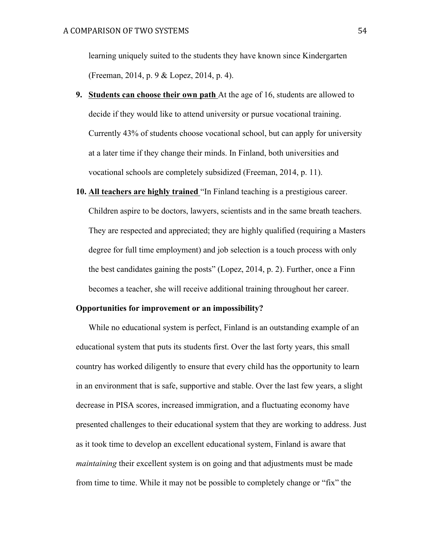learning uniquely suited to the students they have known since Kindergarten (Freeman, 2014, p. 9 & Lopez, 2014, p. 4).

- **9. Students can choose their own path** At the age of 16, students are allowed to decide if they would like to attend university or pursue vocational training. Currently 43% of students choose vocational school, but can apply for university at a later time if they change their minds. In Finland, both universities and vocational schools are completely subsidized (Freeman, 2014, p. 11).
- **10. All teachers are highly trained** "In Finland teaching is a prestigious career. Children aspire to be doctors, lawyers, scientists and in the same breath teachers. They are respected and appreciated; they are highly qualified (requiring a Masters degree for full time employment) and job selection is a touch process with only the best candidates gaining the posts" (Lopez, 2014, p. 2). Further, once a Finn becomes a teacher, she will receive additional training throughout her career.

#### **Opportunities for improvement or an impossibility?**

While no educational system is perfect, Finland is an outstanding example of an educational system that puts its students first. Over the last forty years, this small country has worked diligently to ensure that every child has the opportunity to learn in an environment that is safe, supportive and stable. Over the last few years, a slight decrease in PISA scores, increased immigration, and a fluctuating economy have presented challenges to their educational system that they are working to address. Just as it took time to develop an excellent educational system, Finland is aware that *maintaining* their excellent system is on going and that adjustments must be made from time to time. While it may not be possible to completely change or "fix" the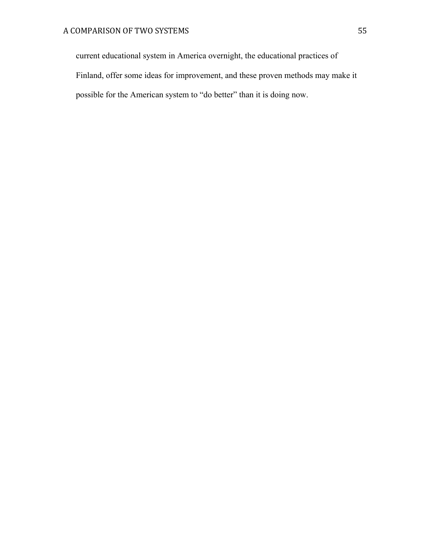current educational system in America overnight, the educational practices of Finland, offer some ideas for improvement, and these proven methods may make it possible for the American system to "do better" than it is doing now.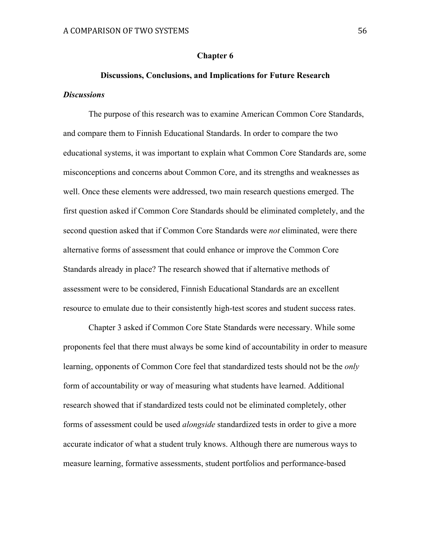#### **Chapter 6**

# **Discussions, Conclusions, and Implications for Future Research** *Discussions*

The purpose of this research was to examine American Common Core Standards, and compare them to Finnish Educational Standards. In order to compare the two educational systems, it was important to explain what Common Core Standards are, some misconceptions and concerns about Common Core, and its strengths and weaknesses as well. Once these elements were addressed, two main research questions emerged. The first question asked if Common Core Standards should be eliminated completely, and the second question asked that if Common Core Standards were *not* eliminated, were there alternative forms of assessment that could enhance or improve the Common Core Standards already in place? The research showed that if alternative methods of assessment were to be considered, Finnish Educational Standards are an excellent resource to emulate due to their consistently high-test scores and student success rates.

Chapter 3 asked if Common Core State Standards were necessary. While some proponents feel that there must always be some kind of accountability in order to measure learning, opponents of Common Core feel that standardized tests should not be the *only* form of accountability or way of measuring what students have learned. Additional research showed that if standardized tests could not be eliminated completely, other forms of assessment could be used *alongside* standardized tests in order to give a more accurate indicator of what a student truly knows. Although there are numerous ways to measure learning, formative assessments, student portfolios and performance-based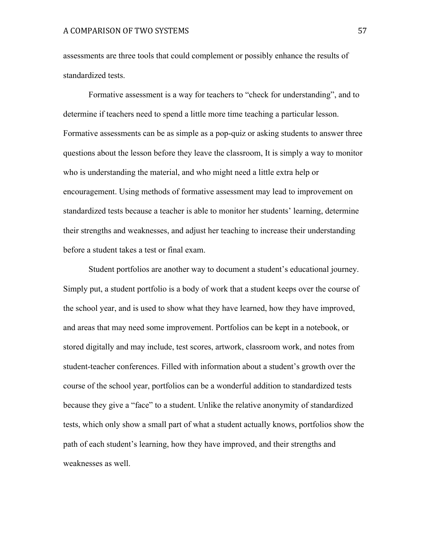assessments are three tools that could complement or possibly enhance the results of standardized tests.

Formative assessment is a way for teachers to "check for understanding", and to determine if teachers need to spend a little more time teaching a particular lesson. Formative assessments can be as simple as a pop-quiz or asking students to answer three questions about the lesson before they leave the classroom, It is simply a way to monitor who is understanding the material, and who might need a little extra help or encouragement. Using methods of formative assessment may lead to improvement on standardized tests because a teacher is able to monitor her students' learning, determine their strengths and weaknesses, and adjust her teaching to increase their understanding before a student takes a test or final exam.

Student portfolios are another way to document a student's educational journey. Simply put, a student portfolio is a body of work that a student keeps over the course of the school year, and is used to show what they have learned, how they have improved, and areas that may need some improvement. Portfolios can be kept in a notebook, or stored digitally and may include, test scores, artwork, classroom work, and notes from student-teacher conferences. Filled with information about a student's growth over the course of the school year, portfolios can be a wonderful addition to standardized tests because they give a "face" to a student. Unlike the relative anonymity of standardized tests, which only show a small part of what a student actually knows, portfolios show the path of each student's learning, how they have improved, and their strengths and weaknesses as well.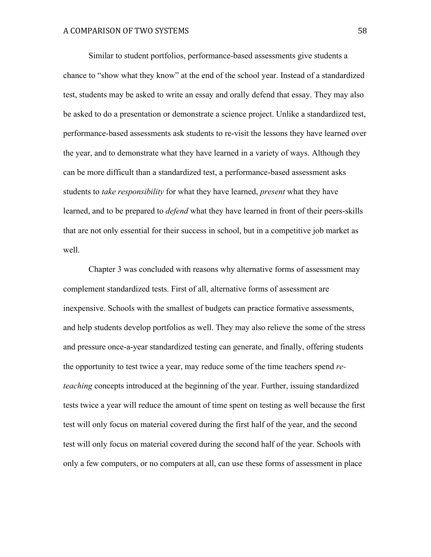Similar to student portfolios, performance-based assessments give students a chance to "show what they know" at the end of the school year. Instead of a standardized test, students may be asked to write an essay and orally defend that essay. They may also be asked to do a presentation or demonstrate a science project. Unlike a standardized test, performance-based assessments ask students to re-visit the lessons they have learned over the year, and to demonstrate what they have learned in a variety of ways. Although they can be more difficult than a standardized test, a performance-based assessment asks students to *take responsibility* for what they have learned, *present* what they have learned, and to be prepared to *defend* what they have learned in front of their peers-skills that are not only essential for their success in school, but in a competitive job market as well.

Chapter 3 was concluded with reasons why alternative forms of assessment may complement standardized tests. First of all, alternative forms of assessment are inexpensive. Schools with the smallest of budgets can practice formative assessments, and help students develop portfolios as well. They may also relieve the some of the stress and pressure once-a-year standardized testing can generate, and finally, offering students the opportunity to test twice a year, may reduce some of the time teachers spend *reteaching* concepts introduced at the beginning of the year. Further, issuing standardized tests twice a year will reduce the amount of time spent on testing as well because the first test will only focus on material covered during the first half of the year, and the second test will only focus on material covered during the second half of the year. Schools with only a few computers, or no computers at all, can use these forms of assessment in place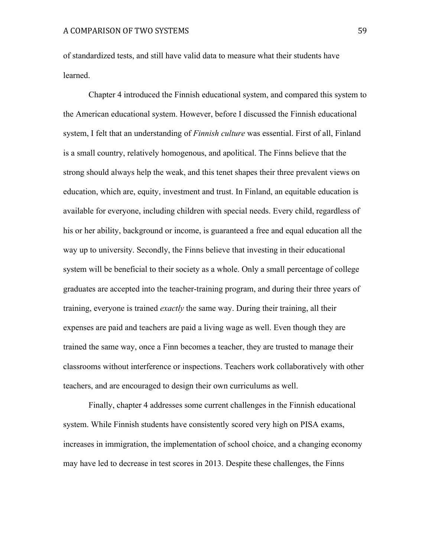of standardized tests, and still have valid data to measure what their students have learned.

Chapter 4 introduced the Finnish educational system, and compared this system to the American educational system. However, before I discussed the Finnish educational system, I felt that an understanding of *Finnish culture* was essential. First of all, Finland is a small country, relatively homogenous, and apolitical. The Finns believe that the strong should always help the weak, and this tenet shapes their three prevalent views on education, which are, equity, investment and trust. In Finland, an equitable education is available for everyone, including children with special needs. Every child, regardless of his or her ability, background or income, is guaranteed a free and equal education all the way up to university. Secondly, the Finns believe that investing in their educational system will be beneficial to their society as a whole. Only a small percentage of college graduates are accepted into the teacher-training program, and during their three years of training, everyone is trained *exactly* the same way. During their training, all their expenses are paid and teachers are paid a living wage as well. Even though they are trained the same way, once a Finn becomes a teacher, they are trusted to manage their classrooms without interference or inspections. Teachers work collaboratively with other teachers, and are encouraged to design their own curriculums as well.

Finally, chapter 4 addresses some current challenges in the Finnish educational system. While Finnish students have consistently scored very high on PISA exams, increases in immigration, the implementation of school choice, and a changing economy may have led to decrease in test scores in 2013. Despite these challenges, the Finns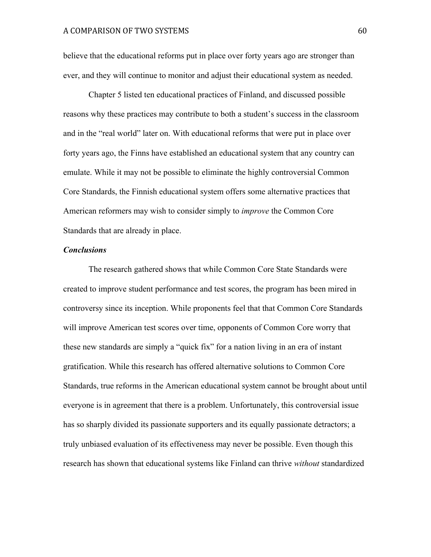believe that the educational reforms put in place over forty years ago are stronger than ever, and they will continue to monitor and adjust their educational system as needed.

Chapter 5 listed ten educational practices of Finland, and discussed possible reasons why these practices may contribute to both a student's success in the classroom and in the "real world" later on. With educational reforms that were put in place over forty years ago, the Finns have established an educational system that any country can emulate. While it may not be possible to eliminate the highly controversial Common Core Standards, the Finnish educational system offers some alternative practices that American reformers may wish to consider simply to *improve* the Common Core Standards that are already in place.

#### *Conclusions*

The research gathered shows that while Common Core State Standards were created to improve student performance and test scores, the program has been mired in controversy since its inception. While proponents feel that that Common Core Standards will improve American test scores over time, opponents of Common Core worry that these new standards are simply a "quick fix" for a nation living in an era of instant gratification. While this research has offered alternative solutions to Common Core Standards, true reforms in the American educational system cannot be brought about until everyone is in agreement that there is a problem. Unfortunately, this controversial issue has so sharply divided its passionate supporters and its equally passionate detractors; a truly unbiased evaluation of its effectiveness may never be possible. Even though this research has shown that educational systems like Finland can thrive *without* standardized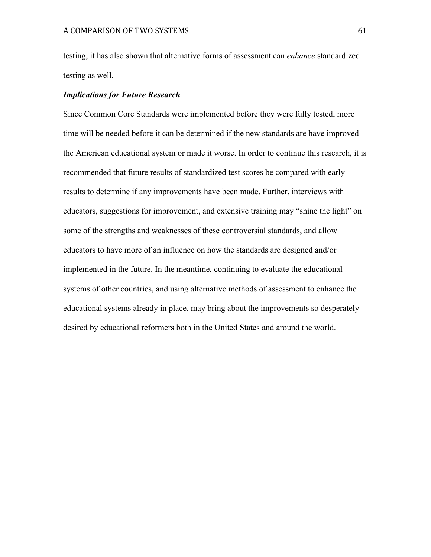testing, it has also shown that alternative forms of assessment can *enhance* standardized testing as well.

# *Implications for Future Research*

Since Common Core Standards were implemented before they were fully tested, more time will be needed before it can be determined if the new standards are have improved the American educational system or made it worse. In order to continue this research, it is recommended that future results of standardized test scores be compared with early results to determine if any improvements have been made. Further, interviews with educators, suggestions for improvement, and extensive training may "shine the light" on some of the strengths and weaknesses of these controversial standards, and allow educators to have more of an influence on how the standards are designed and/or implemented in the future. In the meantime, continuing to evaluate the educational systems of other countries, and using alternative methods of assessment to enhance the educational systems already in place, may bring about the improvements so desperately desired by educational reformers both in the United States and around the world.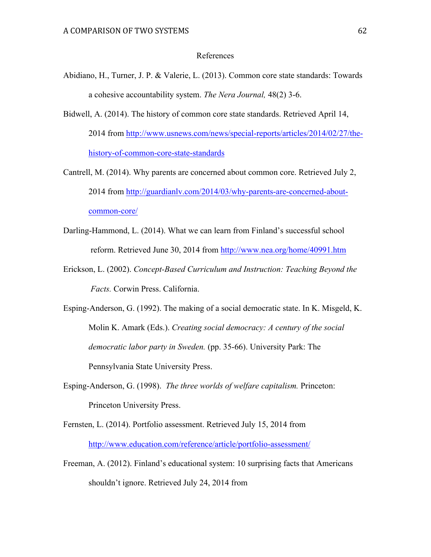#### References

- Abidiano, H., Turner, J. P. & Valerie, L. (2013). Common core state standards: Towards a cohesive accountability system. *The Nera Journal,* 48(2) 3-6.
- Bidwell, A. (2014). The history of common core state standards. Retrieved April 14, 2014 from http://www.usnews.com/news/special-reports/articles/2014/02/27/thehistory-of-common-core-state-standards
- Cantrell, M. (2014). Why parents are concerned about common core. Retrieved July 2, 2014 from http://guardianlv.com/2014/03/why-parents-are-concerned-aboutcommon-core/
- Darling-Hammond, L. (2014). What we can learn from Finland's successful school reform. Retrieved June 30, 2014 from http://www.nea.org/home/40991.htm
- Erickson, L. (2002). *Concept-Based Curriculum and Instruction: Teaching Beyond the Facts.* Corwin Press. California.

Esping-Anderson, G. (1992). The making of a social democratic state. In K. Misgeld, K. Molin K. Amark (Eds.). *Creating social democracy: A century of the social democratic labor party in Sweden.* (pp. 35-66). University Park: The Pennsylvania State University Press.

- Esping-Anderson, G. (1998). *The three worlds of welfare capitalism.* Princeton: Princeton University Press.
- Fernsten, L. (2014). Portfolio assessment. Retrieved July 15, 2014 from http://www.education.com/reference/article/portfolio-assessment/
- Freeman, A. (2012). Finland's educational system: 10 surprising facts that Americans shouldn't ignore. Retrieved July 24, 2014 from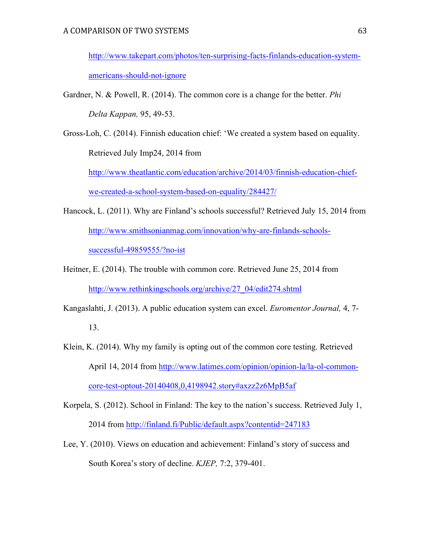http://www.takepart.com/photos/ten-surprising-facts-finlands-education-systemamericans-should-not-ignore

- Gardner, N. & Powell, R. (2014). The common core is a change for the better. *Phi Delta Kappan,* 95, 49-53.
- Gross-Loh, C. (2014). Finnish education chief: 'We created a system based on equality. Retrieved July Imp24, 2014 from

http://www.theatlantic.com/education/archive/2014/03/finnish-education-chiefwe-created-a-school-system-based-on-equality/284427/

- Hancock, L. (2011). Why are Finland's schools successful? Retrieved July 15, 2014 from http://www.smithsonianmag.com/innovation/why-are-finlands-schoolssuccessful-49859555/?no-ist
- Heitner, E. (2014). The trouble with common core. Retrieved June 25, 2014 from http://www.rethinkingschools.org/archive/27\_04/edit274.shtml
- Kangaslahti, J. (2013). A public education system can excel. *Euromentor Journal,* 4, 7- 13.
- Klein, K. (2014). Why my family is opting out of the common core testing. Retrieved April 14, 2014 from http://www.latimes.com/opinion/opinion-la/la-ol-commoncore-test-optout-20140408,0,4198942.story#axzz2z6MpB5af
- Korpela, S. (2012). School in Finland: The key to the nation's success. Retrieved July 1, 2014 from http://finland.fi/Public/default.aspx?contentid=247183
- Lee, Y. (2010). Views on education and achievement: Finland's story of success and South Korea's story of decline. *KJEP,* 7:2, 379-401.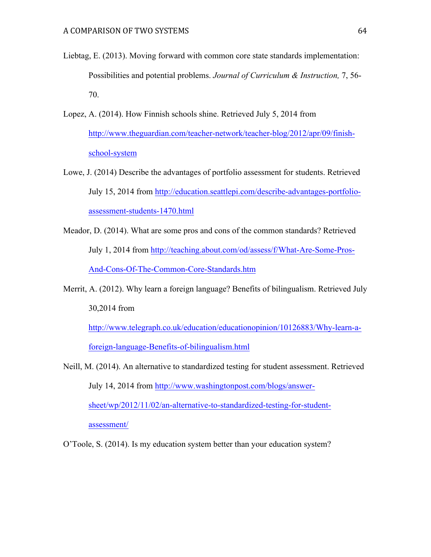- Liebtag, E. (2013). Moving forward with common core state standards implementation: Possibilities and potential problems. *Journal of Curriculum & Instruction,* 7, 56- 70.
- Lopez, A. (2014). How Finnish schools shine. Retrieved July 5, 2014 from http://www.theguardian.com/teacher-network/teacher-blog/2012/apr/09/finishschool-system
- Lowe, J. (2014) Describe the advantages of portfolio assessment for students. Retrieved July 15, 2014 from http://education.seattlepi.com/describe-advantages-portfolioassessment-students-1470.html
- Meador, D. (2014). What are some pros and cons of the common standards? Retrieved July 1, 2014 from http://teaching.about.com/od/assess/f/What-Are-Some-Pros-And-Cons-Of-The-Common-Core-Standards.htm
- Merrit, A. (2012). Why learn a foreign language? Benefits of bilingualism. Retrieved July 30,2014 from

http://www.telegraph.co.uk/education/educationopinion/10126883/Why-learn-aforeign-language-Benefits-of-bilingualism.html

Neill, M. (2014). An alternative to standardized testing for student assessment. Retrieved July 14, 2014 from http://www.washingtonpost.com/blogs/answersheet/wp/2012/11/02/an-alternative-to-standardized-testing-for-studentassessment/

O'Toole, S. (2014). Is my education system better than your education system?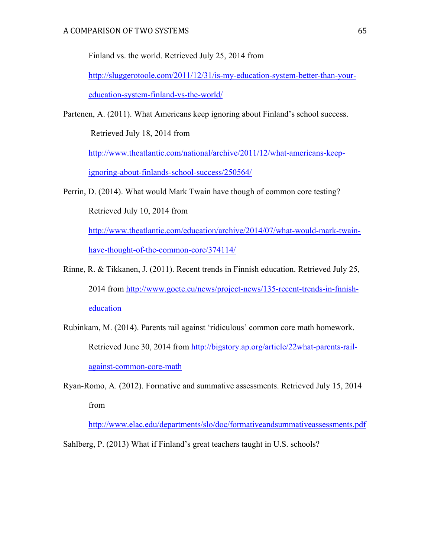Finland vs. the world. Retrieved July 25, 2014 from

http://sluggerotoole.com/2011/12/31/is-my-education-system-better-than-youreducation-system-finland-vs-the-world/

Partenen, A. (2011). What Americans keep ignoring about Finland's school success.

Retrieved July 18, 2014 from

http://www.theatlantic.com/national/archive/2011/12/what-americans-keepignoring-about-finlands-school-success/250564/

Perrin, D. (2014). What would Mark Twain have though of common core testing? Retrieved July 10, 2014 from

http://www.theatlantic.com/education/archive/2014/07/what-would-mark-twainhave-thought-of-the-common-core/374114/

- Rinne, R. & Tikkanen, J. (2011). Recent trends in Finnish education. Retrieved July 25, 2014 from http://www.goete.eu/news/project-news/135-recent-trends-in-fnnisheducation
- Rubinkam, M. (2014). Parents rail against 'ridiculous' common core math homework. Retrieved June 30, 2014 from http://bigstory.ap.org/article/22what-parents-railagainst-common-core-math
- Ryan-Romo, A. (2012). Formative and summative assessments. Retrieved July 15, 2014 from

http://www.elac.edu/departments/slo/doc/formativeandsummativeassessments.pdf

Sahlberg, P. (2013) What if Finland's great teachers taught in U.S. schools?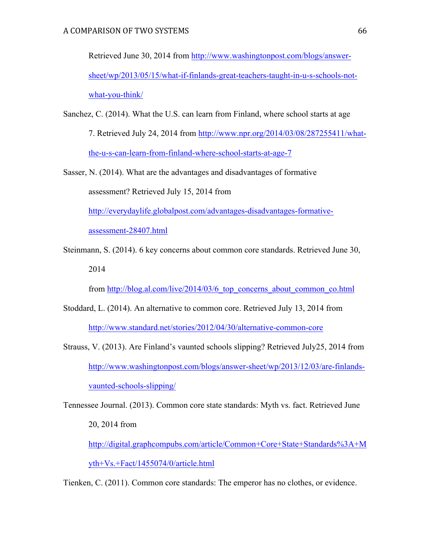Retrieved June 30, 2014 from http://www.washingtonpost.com/blogs/answersheet/wp/2013/05/15/what-if-finlands-great-teachers-taught-in-u-s-schools-notwhat-you-think/

Sanchez, C. (2014). What the U.S. can learn from Finland, where school starts at age 7. Retrieved July 24, 2014 from http://www.npr.org/2014/03/08/287255411/whatthe-u-s-can-learn-from-finland-where-school-starts-at-age-7

Sasser, N. (2014). What are the advantages and disadvantages of formative assessment? Retrieved July 15, 2014 from http://everydaylife.globalpost.com/advantages-disadvantages-formativeassessment-28407.html

Steinmann, S. (2014). 6 key concerns about common core standards. Retrieved June 30, 2014

from http://blog.al.com/live/2014/03/6\_top\_concerns\_about\_common\_co.html

- Stoddard, L. (2014). An alternative to common core. Retrieved July 13, 2014 from http://www.standard.net/stories/2012/04/30/alternative-common-core
- Strauss, V. (2013). Are Finland's vaunted schools slipping? Retrieved July25, 2014 from http://www.washingtonpost.com/blogs/answer-sheet/wp/2013/12/03/are-finlandsvaunted-schools-slipping/

Tennessee Journal. (2013). Common core state standards: Myth vs. fact. Retrieved June 20, 2014 from

http://digital.graphcompubs.com/article/Common+Core+State+Standards%3A+M yth+Vs.+Fact/1455074/0/article.html

Tienken, C. (2011). Common core standards: The emperor has no clothes, or evidence.